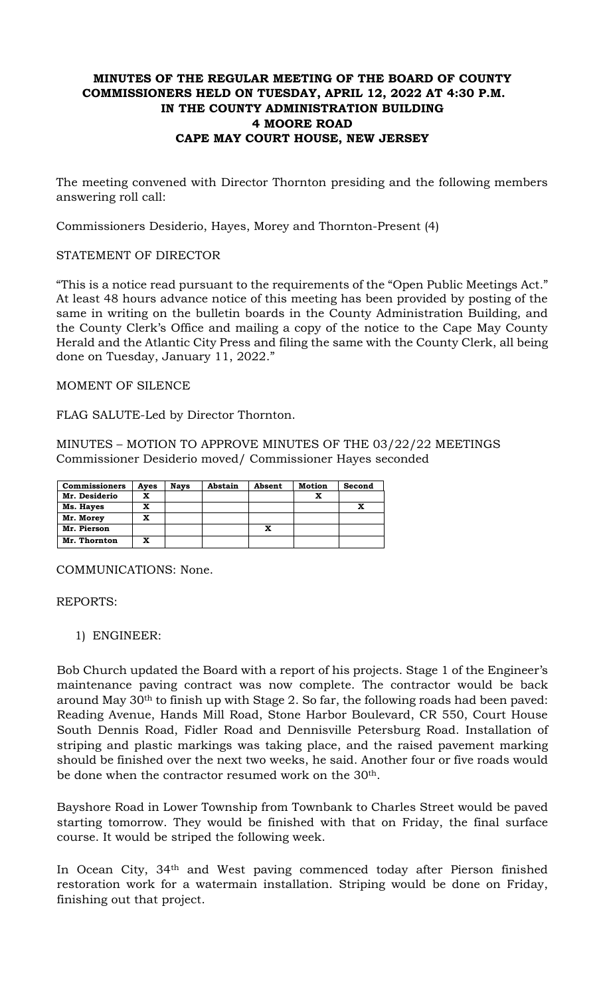# **MINUTES OF THE REGULAR MEETING OF THE BOARD OF COUNTY COMMISSIONERS HELD ON TUESDAY, APRIL 12, 2022 AT 4:30 P.M. IN THE COUNTY ADMINISTRATION BUILDING 4 MOORE ROAD CAPE MAY COURT HOUSE, NEW JERSEY**

The meeting convened with Director Thornton presiding and the following members answering roll call:

Commissioners Desiderio, Hayes, Morey and Thornton-Present (4)

### STATEMENT OF DIRECTOR

"This is a notice read pursuant to the requirements of the "Open Public Meetings Act." At least 48 hours advance notice of this meeting has been provided by posting of the same in writing on the bulletin boards in the County Administration Building, and the County Clerk's Office and mailing a copy of the notice to the Cape May County Herald and the Atlantic City Press and filing the same with the County Clerk, all being done on Tuesday, January 11, 2022."

MOMENT OF SILENCE

FLAG SALUTE-Led by Director Thornton.

MINUTES – MOTION TO APPROVE MINUTES OF THE 03/22/22 MEETINGS Commissioner Desiderio moved/ Commissioner Hayes seconded

| <b>Commissioners</b> | Ayes | <b>Nays</b> | Abstain | Absent | <b>Motion</b> | Second |
|----------------------|------|-------------|---------|--------|---------------|--------|
| Mr. Desiderio        | x    |             |         |        |               |        |
| Ms. Hayes            | x    |             |         |        |               |        |
| Mr. Morey            | x    |             |         |        |               |        |
| Mr. Pierson          |      |             |         | x      |               |        |
| Mr. Thornton         | x    |             |         |        |               |        |

COMMUNICATIONS: None.

REPORTS:

1) ENGINEER:

Bob Church updated the Board with a report of his projects. Stage 1 of the Engineer's maintenance paving contract was now complete. The contractor would be back around May 30th to finish up with Stage 2. So far, the following roads had been paved: Reading Avenue, Hands Mill Road, Stone Harbor Boulevard, CR 550, Court House South Dennis Road, Fidler Road and Dennisville Petersburg Road. Installation of striping and plastic markings was taking place, and the raised pavement marking should be finished over the next two weeks, he said. Another four or five roads would be done when the contractor resumed work on the 30<sup>th</sup>.

Bayshore Road in Lower Township from Townbank to Charles Street would be paved starting tomorrow. They would be finished with that on Friday, the final surface course. It would be striped the following week.

In Ocean City, 34th and West paving commenced today after Pierson finished restoration work for a watermain installation. Striping would be done on Friday, finishing out that project.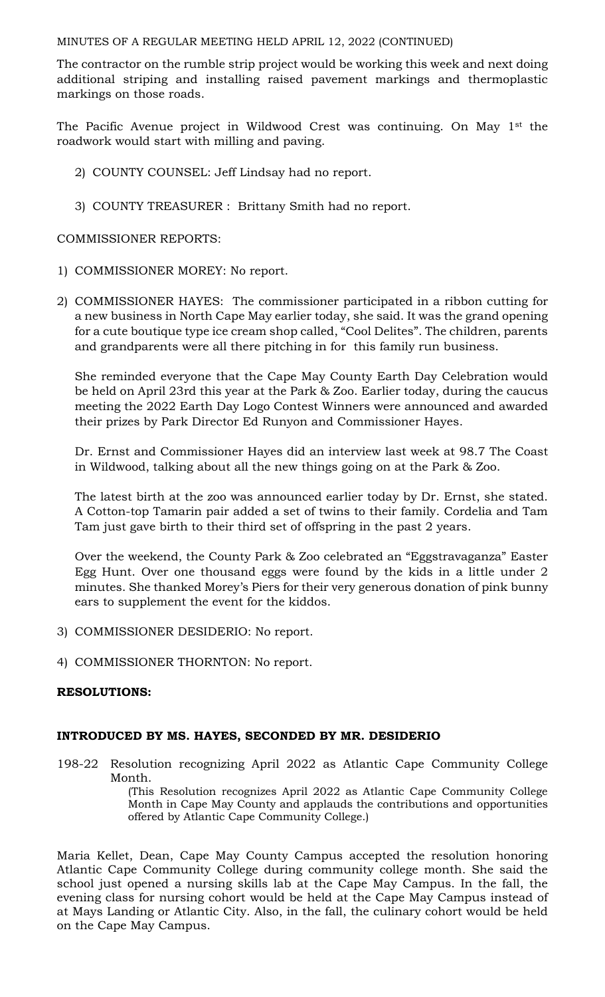The contractor on the rumble strip project would be working this week and next doing additional striping and installing raised pavement markings and thermoplastic markings on those roads.

The Pacific Avenue project in Wildwood Crest was continuing. On May 1<sup>st</sup> the roadwork would start with milling and paving.

- 2) COUNTY COUNSEL: Jeff Lindsay had no report.
- 3) COUNTY TREASURER : Brittany Smith had no report.

## COMMISSIONER REPORTS:

- 1) COMMISSIONER MOREY: No report.
- 2) COMMISSIONER HAYES: The commissioner participated in a ribbon cutting for a new business in North Cape May earlier today, she said. It was the grand opening for a cute boutique type ice cream shop called, "Cool Delites". The children, parents and grandparents were all there pitching in for this family run business.

She reminded everyone that the Cape May County Earth Day Celebration would be held on April 23rd this year at the Park & Zoo. Earlier today, during the caucus meeting the 2022 Earth Day Logo Contest Winners were announced and awarded their prizes by Park Director Ed Runyon and Commissioner Hayes.

Dr. Ernst and Commissioner Hayes did an interview last week at 98.7 The Coast in Wildwood, talking about all the new things going on at the Park & Zoo.

The latest birth at the zoo was announced earlier today by Dr. Ernst, she stated. A Cotton-top Tamarin pair added a set of twins to their family. Cordelia and Tam Tam just gave birth to their third set of offspring in the past 2 years.

Over the weekend, the County Park & Zoo celebrated an "Eggstravaganza" Easter Egg Hunt. Over one thousand eggs were found by the kids in a little under 2 minutes. She thanked Morey's Piers for their very generous donation of pink bunny ears to supplement the event for the kiddos.

- 3) COMMISSIONER DESIDERIO: No report.
- 4) COMMISSIONER THORNTON: No report.

## **RESOLUTIONS:**

### **INTRODUCED BY MS. HAYES, SECONDED BY MR. DESIDERIO**

198-22 Resolution recognizing April 2022 as Atlantic Cape Community College Month.

(This Resolution recognizes April 2022 as Atlantic Cape Community College Month in Cape May County and applauds the contributions and opportunities offered by Atlantic Cape Community College.)

Maria Kellet, Dean, Cape May County Campus accepted the resolution honoring Atlantic Cape Community College during community college month. She said the school just opened a nursing skills lab at the Cape May Campus. In the fall, the evening class for nursing cohort would be held at the Cape May Campus instead of at Mays Landing or Atlantic City. Also, in the fall, the culinary cohort would be held on the Cape May Campus.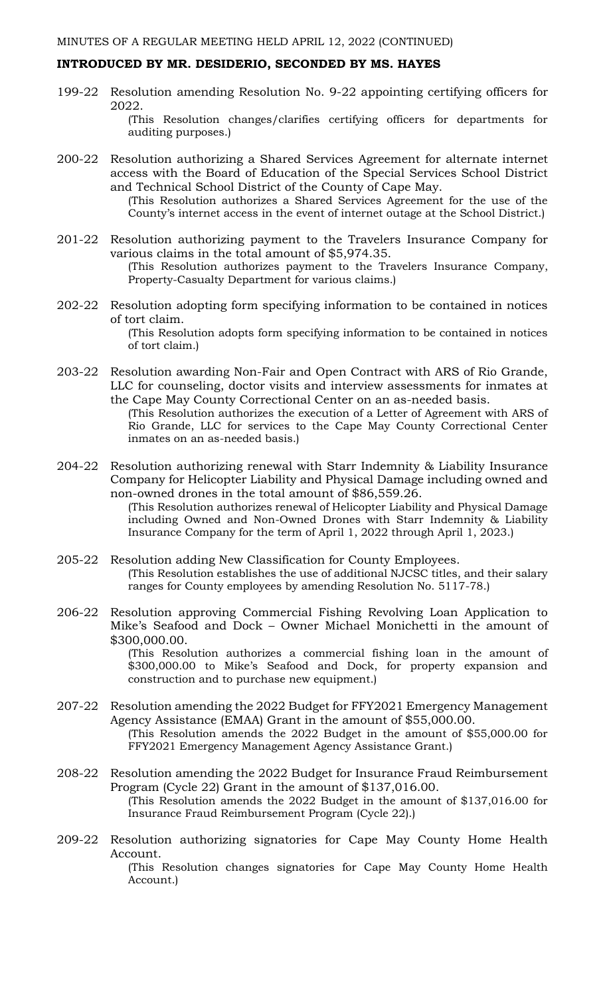### **INTRODUCED BY MR. DESIDERIO, SECONDED BY MS. HAYES**

199-22 Resolution amending Resolution No. 9-22 appointing certifying officers for 2022. (This Resolution changes/clarifies certifying officers for departments for

auditing purposes.)

200-22 Resolution authorizing a Shared Services Agreement for alternate internet access with the Board of Education of the Special Services School District and Technical School District of the County of Cape May.

(This Resolution authorizes a Shared Services Agreement for the use of the County's internet access in the event of internet outage at the School District.)

- 201-22 Resolution authorizing payment to the Travelers Insurance Company for various claims in the total amount of \$5,974.35. (This Resolution authorizes payment to the Travelers Insurance Company, Property-Casualty Department for various claims.)
- 202-22 Resolution adopting form specifying information to be contained in notices of tort claim. (This Resolution adopts form specifying information to be contained in notices of tort claim.)
- 203-22 Resolution awarding Non-Fair and Open Contract with ARS of Rio Grande, LLC for counseling, doctor visits and interview assessments for inmates at the Cape May County Correctional Center on an as-needed basis.

(This Resolution authorizes the execution of a Letter of Agreement with ARS of Rio Grande, LLC for services to the Cape May County Correctional Center inmates on an as-needed basis.)

204-22 Resolution authorizing renewal with Starr Indemnity & Liability Insurance Company for Helicopter Liability and Physical Damage including owned and non-owned drones in the total amount of \$86,559.26.

(This Resolution authorizes renewal of Helicopter Liability and Physical Damage including Owned and Non-Owned Drones with Starr Indemnity & Liability Insurance Company for the term of April 1, 2022 through April 1, 2023.)

- 205-22 Resolution adding New Classification for County Employees. (This Resolution establishes the use of additional NJCSC titles, and their salary ranges for County employees by amending Resolution No. 5117-78.)
- 206-22 Resolution approving Commercial Fishing Revolving Loan Application to Mike's Seafood and Dock – Owner Michael Monichetti in the amount of \$300,000.00.

(This Resolution authorizes a commercial fishing loan in the amount of \$300,000.00 to Mike's Seafood and Dock, for property expansion and construction and to purchase new equipment.)

- 207-22 Resolution amending the 2022 Budget for FFY2021 Emergency Management Agency Assistance (EMAA) Grant in the amount of \$55,000.00. (This Resolution amends the 2022 Budget in the amount of \$55,000.00 for FFY2021 Emergency Management Agency Assistance Grant.)
- 208-22 Resolution amending the 2022 Budget for Insurance Fraud Reimbursement Program (Cycle 22) Grant in the amount of \$137,016.00. (This Resolution amends the 2022 Budget in the amount of \$137,016.00 for Insurance Fraud Reimbursement Program (Cycle 22).)
- 209-22 Resolution authorizing signatories for Cape May County Home Health Account.

(This Resolution changes signatories for Cape May County Home Health Account.)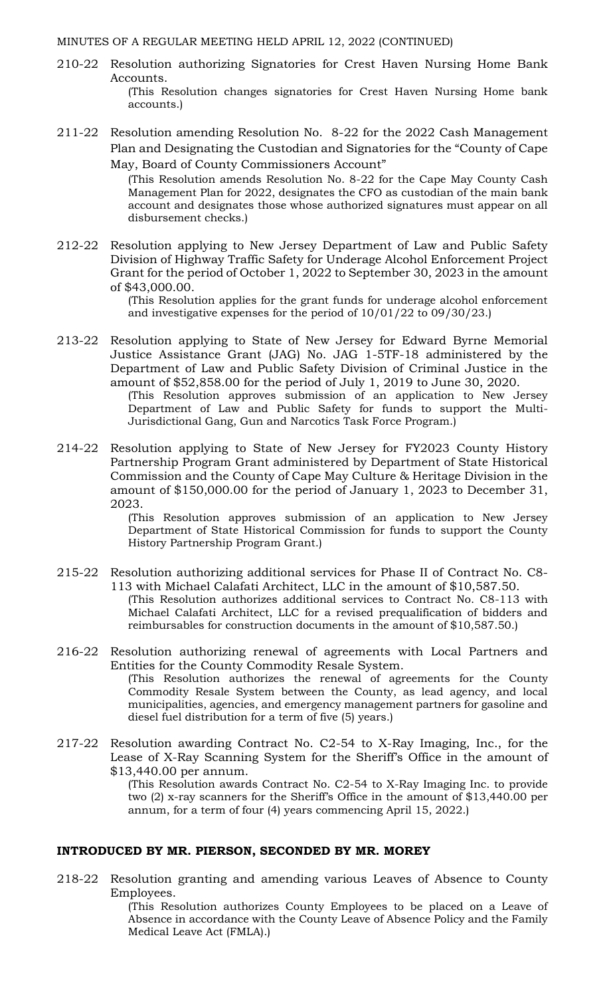- 210-22 Resolution authorizing Signatories for Crest Haven Nursing Home Bank Accounts.
	- (This Resolution changes signatories for Crest Haven Nursing Home bank accounts.)
- 211-22 Resolution amending Resolution No. 8-22 for the 2022 Cash Management Plan and Designating the Custodian and Signatories for the "County of Cape May, Board of County Commissioners Account"

(This Resolution amends Resolution No. 8-22 for the Cape May County Cash Management Plan for 2022, designates the CFO as custodian of the main bank account and designates those whose authorized signatures must appear on all disbursement checks.)

212-22 Resolution applying to New Jersey Department of Law and Public Safety Division of Highway Traffic Safety for Underage Alcohol Enforcement Project Grant for the period of October 1, 2022 to September 30, 2023 in the amount of \$43,000.00.

> (This Resolution applies for the grant funds for underage alcohol enforcement and investigative expenses for the period of 10/01/22 to 09/30/23.)

213-22 Resolution applying to State of New Jersey for Edward Byrne Memorial Justice Assistance Grant (JAG) No. JAG 1-5TF-18 administered by the Department of Law and Public Safety Division of Criminal Justice in the amount of \$52,858.00 for the period of July 1, 2019 to June 30, 2020.

(This Resolution approves submission of an application to New Jersey Department of Law and Public Safety for funds to support the Multi-Jurisdictional Gang, Gun and Narcotics Task Force Program.)

214-22 Resolution applying to State of New Jersey for FY2023 County History Partnership Program Grant administered by Department of State Historical Commission and the County of Cape May Culture & Heritage Division in the amount of \$150,000.00 for the period of January 1, 2023 to December 31, 2023.

> (This Resolution approves submission of an application to New Jersey Department of State Historical Commission for funds to support the County History Partnership Program Grant.)

- 215-22 Resolution authorizing additional services for Phase II of Contract No. C8- 113 with Michael Calafati Architect, LLC in the amount of \$10,587.50. (This Resolution authorizes additional services to Contract No. C8-113 with Michael Calafati Architect, LLC for a revised prequalification of bidders and reimbursables for construction documents in the amount of \$10,587.50.)
- 216-22 Resolution authorizing renewal of agreements with Local Partners and Entities for the County Commodity Resale System. (This Resolution authorizes the renewal of agreements for the County Commodity Resale System between the County, as lead agency, and local

municipalities, agencies, and emergency management partners for gasoline and diesel fuel distribution for a term of five (5) years.)

217-22 Resolution awarding Contract No. C2-54 to X-Ray Imaging, Inc., for the Lease of X-Ray Scanning System for the Sheriff's Office in the amount of \$13,440.00 per annum.

(This Resolution awards Contract No. C2-54 to X-Ray Imaging Inc. to provide two (2) x-ray scanners for the Sheriff's Office in the amount of \$13,440.00 per annum, for a term of four (4) years commencing April 15, 2022.)

### **INTRODUCED BY MR. PIERSON, SECONDED BY MR. MOREY**

218-22 Resolution granting and amending various Leaves of Absence to County Employees.

(This Resolution authorizes County Employees to be placed on a Leave of Absence in accordance with the County Leave of Absence Policy and the Family Medical Leave Act (FMLA).)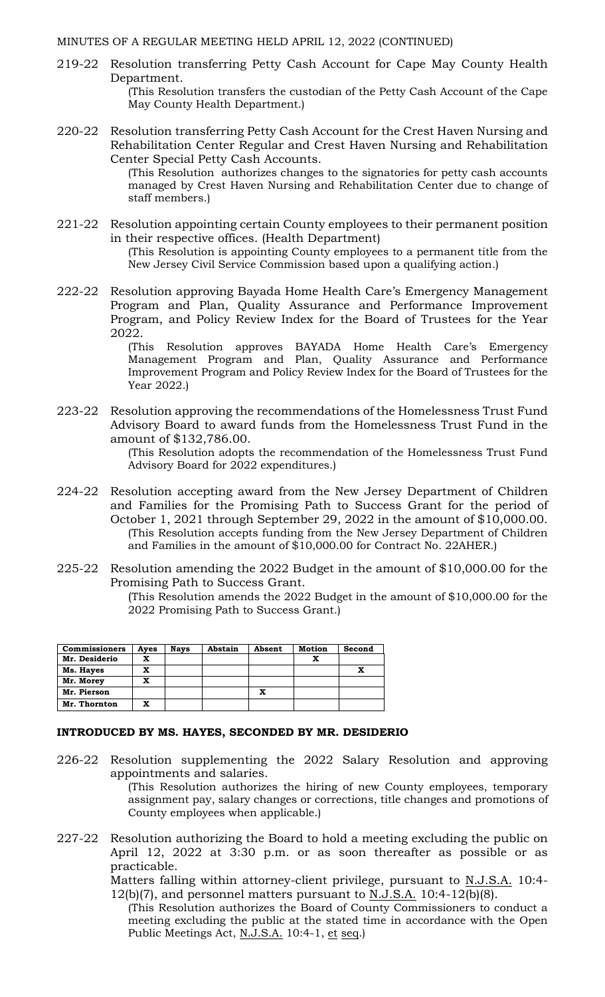219-22 Resolution transferring Petty Cash Account for Cape May County Health Department.

(This Resolution transfers the custodian of the Petty Cash Account of the Cape May County Health Department.)

220-22 Resolution transferring Petty Cash Account for the Crest Haven Nursing and Rehabilitation Center Regular and Crest Haven Nursing and Rehabilitation Center Special Petty Cash Accounts.

> (This Resolution authorizes changes to the signatories for petty cash accounts managed by Crest Haven Nursing and Rehabilitation Center due to change of staff members.)

- 221-22 Resolution appointing certain County employees to their permanent position in their respective offices. (Health Department) (This Resolution is appointing County employees to a permanent title from the New Jersey Civil Service Commission based upon a qualifying action*.*)
- 222-22 Resolution approving Bayada Home Health Care's Emergency Management Program and Plan, Quality Assurance and Performance Improvement Program, and Policy Review Index for the Board of Trustees for the Year 2022.

(This Resolution approves BAYADA Home Health Care's Emergency Management Program and Plan, Quality Assurance and Performance Improvement Program and Policy Review Index for the Board of Trustees for the Year 2022.)

223-22 Resolution approving the recommendations of the Homelessness Trust Fund Advisory Board to award funds from the Homelessness Trust Fund in the amount of \$132,786.00.

(This Resolution adopts the recommendation of the Homelessness Trust Fund Advisory Board for 2022 expenditures.)

- 224-22 Resolution accepting award from the New Jersey Department of Children and Families for the Promising Path to Success Grant for the period of October 1, 2021 through September 29, 2022 in the amount of \$10,000.00. (This Resolution accepts funding from the New Jersey Department of Children and Families in the amount of \$10,000.00 for Contract No. 22AHER.)
- 225-22 Resolution amending the 2022 Budget in the amount of \$10,000.00 for the Promising Path to Success Grant.

(This Resolution amends the 2022 Budget in the amount of \$10,000.00 for the 2022 Promising Path to Success Grant.)

| <b>Commissioners</b> | Aves | <b>Nays</b> | Abstain | Absent | <b>Motion</b> | Second |
|----------------------|------|-------------|---------|--------|---------------|--------|
| Mr. Desiderio        | x    |             |         |        |               |        |
| Ms. Hayes            | x    |             |         |        |               |        |
| Mr. Morey            | x    |             |         |        |               |        |
| Mr. Pierson          |      |             |         |        |               |        |
| Mr. Thornton         | x    |             |         |        |               |        |

#### **INTRODUCED BY MS. HAYES, SECONDED BY MR. DESIDERIO**

226-22 Resolution supplementing the 2022 Salary Resolution and approving appointments and salaries.

> (This Resolution authorizes the hiring of new County employees, temporary assignment pay, salary changes or corrections, title changes and promotions of County employees when applicable.)

227-22 Resolution authorizing the Board to hold a meeting excluding the public on April 12, 2022 at 3:30 p.m. or as soon thereafter as possible or as practicable.

Matters falling within attorney-client privilege, pursuant to N.J.S.A. 10:4-12(b)(7), and personnel matters pursuant to  $N.J.S.A.$  10:4-12(b)(8).

(This Resolution authorizes the Board of County Commissioners to conduct a meeting excluding the public at the stated time in accordance with the Open Public Meetings Act, N.J.S.A. 10:4-1, et seq.)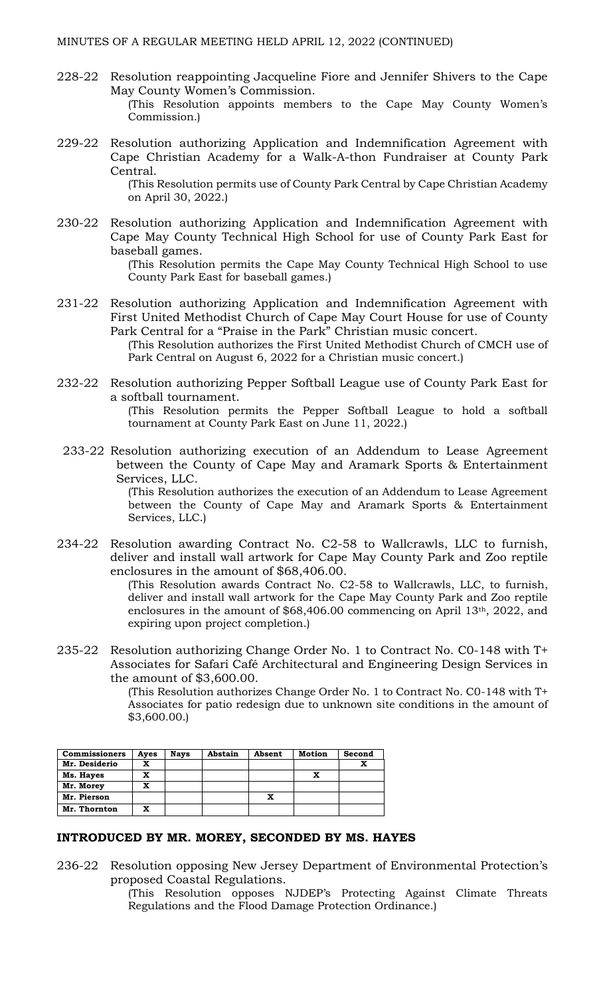- 228-22 Resolution reappointing Jacqueline Fiore and Jennifer Shivers to the Cape May County Women's Commission. (This Resolution appoints members to the Cape May County Women's Commission.)
- 229-22 Resolution authorizing Application and Indemnification Agreement with Cape Christian Academy for a Walk-A-thon Fundraiser at County Park Central.

(This Resolution permits use of County Park Central by Cape Christian Academy on April 30, 2022.)

230-22 Resolution authorizing Application and Indemnification Agreement with Cape May County Technical High School for use of County Park East for baseball games.

(This Resolution permits the Cape May County Technical High School to use County Park East for baseball games.)

231-22 Resolution authorizing Application and Indemnification Agreement with First United Methodist Church of Cape May Court House for use of County Park Central for a "Praise in the Park" Christian music concert.

(This Resolution authorizes the First United Methodist Church of CMCH use of Park Central on August 6, 2022 for a Christian music concert.)

232-22 Resolution authorizing Pepper Softball League use of County Park East for a softball tournament.

> (This Resolution permits the Pepper Softball League to hold a softball tournament at County Park East on June 11, 2022.)

233-22 Resolution authorizing execution of an Addendum to Lease Agreement between the County of Cape May and Aramark Sports & Entertainment Services, LLC.

> (This Resolution authorizes the execution of an Addendum to Lease Agreement between the County of Cape May and Aramark Sports & Entertainment Services, LLC.)

234-22 Resolution awarding Contract No. C2-58 to Wallcrawls, LLC to furnish, deliver and install wall artwork for Cape May County Park and Zoo reptile enclosures in the amount of \$68,406.00.

> (This Resolution awards Contract No. C2-58 to Wallcrawls, LLC, to furnish, deliver and install wall artwork for the Cape May County Park and Zoo reptile enclosures in the amount of \$68,406.00 commencing on April 13th, 2022, and expiring upon project completion.)

235-22 Resolution authorizing Change Order No. 1 to Contract No. C0-148 with T+ Associates for Safari Café Architectural and Engineering Design Services in the amount of \$3,600.00.

> (This Resolution authorizes Change Order No. 1 to Contract No. C0-148 with T+ Associates for patio redesign due to unknown site conditions in the amount of \$3,600.00.)

| <b>Commissioners</b> | Ayes | Nays | Abstain | Absent | Motion | Second |
|----------------------|------|------|---------|--------|--------|--------|
| Mr. Desiderio        | x    |      |         |        |        | x      |
| Ms. Hayes            | x    |      |         |        |        |        |
| Mr. Morey            | x    |      |         |        |        |        |
| Mr. Pierson          |      |      |         |        |        |        |
| Mr. Thornton         | x    |      |         |        |        |        |

### **INTRODUCED BY MR. MOREY, SECONDED BY MS. HAYES**

236-22 Resolution opposing New Jersey Department of Environmental Protection's proposed Coastal Regulations.

> (This Resolution opposes NJDEP's Protecting Against Climate Threats Regulations and the Flood Damage Protection Ordinance.)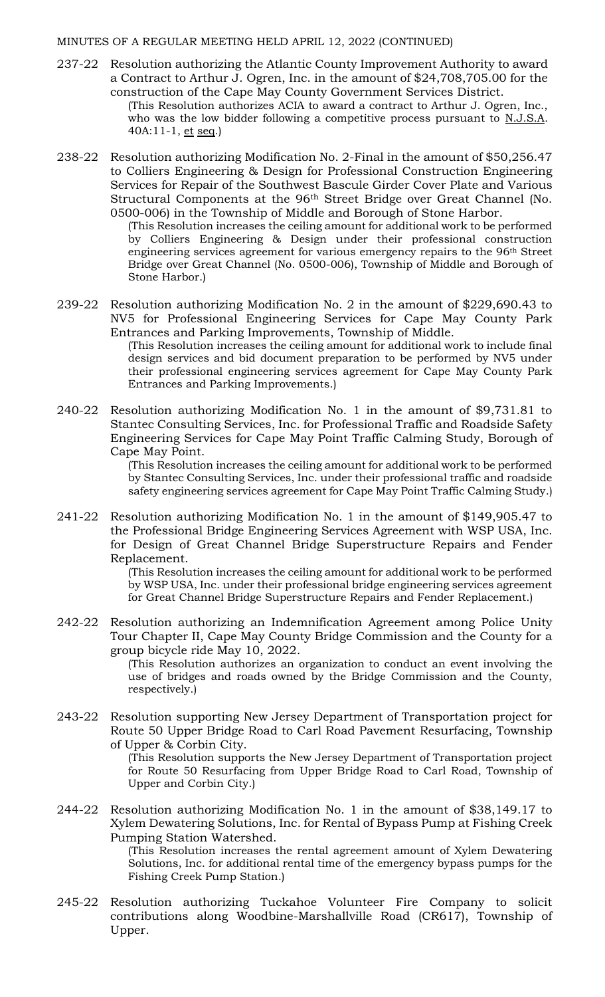- 237-22 Resolution authorizing the Atlantic County Improvement Authority to award a Contract to Arthur J. Ogren, Inc. in the amount of \$24,708,705.00 for the construction of the Cape May County Government Services District. (This Resolution authorizes ACIA to award a contract to Arthur J. Ogren, Inc.,
	- who was the low bidder following a competitive process pursuant to N.J.S.A. 40A:11-1, et seq.)
- 238-22 Resolution authorizing Modification No. 2-Final in the amount of \$50,256.47 to Colliers Engineering & Design for Professional Construction Engineering Services for Repair of the Southwest Bascule Girder Cover Plate and Various Structural Components at the 96th Street Bridge over Great Channel (No. 0500-006) in the Township of Middle and Borough of Stone Harbor.

(This Resolution increases the ceiling amount for additional work to be performed by Colliers Engineering & Design under their professional construction engineering services agreement for various emergency repairs to the 96th Street Bridge over Great Channel (No. 0500-006), Township of Middle and Borough of Stone Harbor.)

239-22 Resolution authorizing Modification No. 2 in the amount of \$229,690.43 to NV5 for Professional Engineering Services for Cape May County Park Entrances and Parking Improvements, Township of Middle.

> (This Resolution increases the ceiling amount for additional work to include final design services and bid document preparation to be performed by NV5 under their professional engineering services agreement for Cape May County Park Entrances and Parking Improvements.)

240-22 Resolution authorizing Modification No. 1 in the amount of \$9,731.81 to Stantec Consulting Services, Inc. for Professional Traffic and Roadside Safety Engineering Services for Cape May Point Traffic Calming Study, Borough of Cape May Point.

> (This Resolution increases the ceiling amount for additional work to be performed by Stantec Consulting Services, Inc. under their professional traffic and roadside safety engineering services agreement for Cape May Point Traffic Calming Study.)

241-22 Resolution authorizing Modification No. 1 in the amount of \$149,905.47 to the Professional Bridge Engineering Services Agreement with WSP USA, Inc. for Design of Great Channel Bridge Superstructure Repairs and Fender Replacement.

> (This Resolution increases the ceiling amount for additional work to be performed by WSP USA, Inc. under their professional bridge engineering services agreement for Great Channel Bridge Superstructure Repairs and Fender Replacement.)

242-22 Resolution authorizing an Indemnification Agreement among Police Unity Tour Chapter II, Cape May County Bridge Commission and the County for a group bicycle ride May 10, 2022.

> (This Resolution authorizes an organization to conduct an event involving the use of bridges and roads owned by the Bridge Commission and the County, respectively.)

243-22 Resolution supporting New Jersey Department of Transportation project for Route 50 Upper Bridge Road to Carl Road Pavement Resurfacing, Township of Upper & Corbin City.

> (This Resolution supports the New Jersey Department of Transportation project for Route 50 Resurfacing from Upper Bridge Road to Carl Road, Township of Upper and Corbin City.)

244-22 Resolution authorizing Modification No. 1 in the amount of \$38,149.17 to Xylem Dewatering Solutions, Inc. for Rental of Bypass Pump at Fishing Creek Pumping Station Watershed.

> (This Resolution increases the rental agreement amount of Xylem Dewatering Solutions, Inc. for additional rental time of the emergency bypass pumps for the Fishing Creek Pump Station.)

245-22 Resolution authorizing Tuckahoe Volunteer Fire Company to solicit contributions along Woodbine-Marshallville Road (CR617), Township of Upper.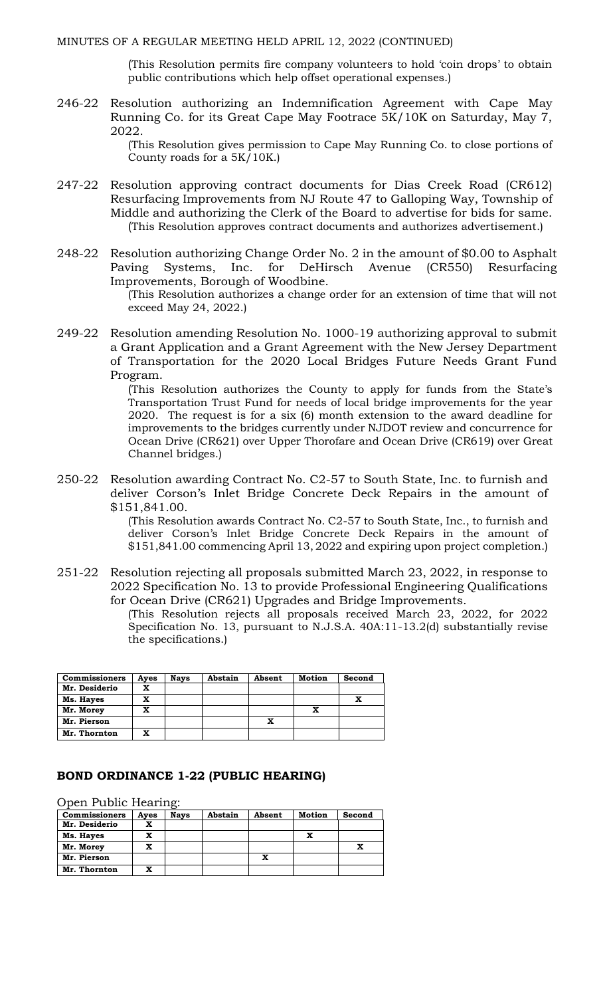(This Resolution permits fire company volunteers to hold 'coin drops' to obtain public contributions which help offset operational expenses.)

246-22 Resolution authorizing an Indemnification Agreement with Cape May Running Co. for its Great Cape May Footrace 5K/10K on Saturday, May 7, 2022.

> (This Resolution gives permission to Cape May Running Co. to close portions of County roads for a 5K/10K.)

- 247-22 Resolution approving contract documents for Dias Creek Road (CR612) Resurfacing Improvements from NJ Route 47 to Galloping Way, Township of Middle and authorizing the Clerk of the Board to advertise for bids for same. (This Resolution approves contract documents and authorizes advertisement.)
- 248-22 Resolution authorizing Change Order No. 2 in the amount of \$0.00 to Asphalt Paving Systems, Inc. for DeHirsch Avenue (CR550) Resurfacing Improvements, Borough of Woodbine.

(This Resolution authorizes a change order for an extension of time that will not exceed May 24, 2022.)

249-22 Resolution amending Resolution No. 1000-19 authorizing approval to submit a Grant Application and a Grant Agreement with the New Jersey Department of Transportation for the 2020 Local Bridges Future Needs Grant Fund Program.

> (This Resolution authorizes the County to apply for funds from the State's Transportation Trust Fund for needs of local bridge improvements for the year 2020. The request is for a six (6) month extension to the award deadline for improvements to the bridges currently under NJDOT review and concurrence for Ocean Drive (CR621) over Upper Thorofare and Ocean Drive (CR619) over Great Channel bridges.)

250-22 Resolution awarding Contract No. C2-57 to South State, Inc. to furnish and deliver Corson's Inlet Bridge Concrete Deck Repairs in the amount of \$151,841.00.

> (This Resolution awards Contract No. C2-57 to South State, Inc., to furnish and deliver Corson's Inlet Bridge Concrete Deck Repairs in the amount of \$151,841.00 commencing April 13, 2022 and expiring upon project completion.)

251-22 Resolution rejecting all proposals submitted March 23, 2022, in response to 2022 Specification No. 13 to provide Professional Engineering Qualifications for Ocean Drive (CR621) Upgrades and Bridge Improvements.

> (This Resolution rejects all proposals received March 23, 2022, for 2022 Specification No. 13, pursuant to N.J.S.A. 40A:11-13.2(d) substantially revise the specifications.)

| <b>Commissioners</b> | Ayes | <b>Nays</b> | Abstain | Absent | <b>Motion</b> | Second |
|----------------------|------|-------------|---------|--------|---------------|--------|
| Mr. Desiderio        | x    |             |         |        |               |        |
| Ms. Hayes            | x    |             |         |        |               |        |
| Mr. Morey            | x    |             |         |        |               |        |
| Mr. Pierson          |      |             |         |        |               |        |
| Mr. Thornton         | x    |             |         |        |               |        |

#### **BOND ORDINANCE 1-22 (PUBLIC HEARING)**

Open Public Hearing:

| <b>Commissioners</b> | Ayes | <b>Nays</b> | Abstain | Absent | <b>Motion</b> | Second |
|----------------------|------|-------------|---------|--------|---------------|--------|
| Mr. Desiderio        |      |             |         |        |               |        |
| Ms. Hayes            |      |             |         |        |               |        |
| Mr. Morey            |      |             |         |        |               |        |
| Mr. Pierson          |      |             |         |        |               |        |
| Mr. Thornton         |      |             |         |        |               |        |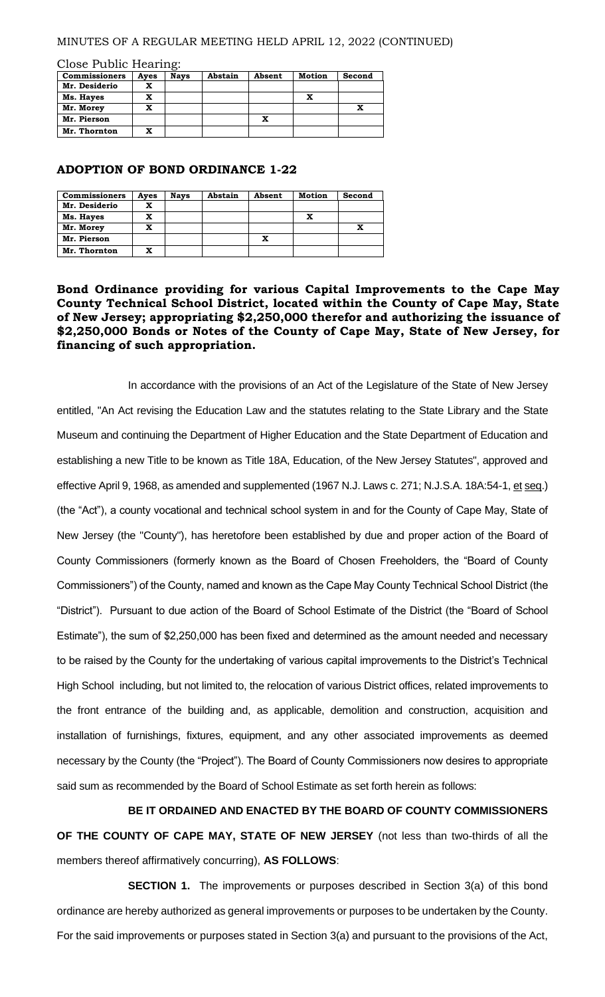Close Public Hearing:

| <b>Commissioners</b> | Ayes | <b>Nays</b> | Abstain | Absent | <b>Motion</b> | Second |
|----------------------|------|-------------|---------|--------|---------------|--------|
| Mr. Desiderio        |      |             |         |        |               |        |
| Ms. Hayes            |      |             |         |        | x             |        |
| Mr. Morey            |      |             |         |        |               |        |
| Mr. Pierson          |      |             |         | x      |               |        |
| Mr. Thornton         |      |             |         |        |               |        |

#### **ADOPTION OF BOND ORDINANCE 1-22**

| <b>Commissioners</b> | Ayes | <b>Nays</b> | Abstain | Absent | Motion | Second |
|----------------------|------|-------------|---------|--------|--------|--------|
| Mr. Desiderio        |      |             |         |        |        |        |
| Ms. Hayes            |      |             |         |        | x      |        |
| Mr. Morey            |      |             |         |        |        |        |
| Mr. Pierson          |      |             |         | x      |        |        |
| Mr. Thornton         |      |             |         |        |        |        |

### **Bond Ordinance providing for various Capital Improvements to the Cape May County Technical School District, located within the County of Cape May, State of New Jersey; appropriating \$2,250,000 therefor and authorizing the issuance of \$2,250,000 Bonds or Notes of the County of Cape May, State of New Jersey, for financing of such appropriation.**

In accordance with the provisions of an Act of the Legislature of the State of New Jersey entitled, "An Act revising the Education Law and the statutes relating to the State Library and the State Museum and continuing the Department of Higher Education and the State Department of Education and establishing a new Title to be known as Title 18A, Education, of the New Jersey Statutes", approved and effective April 9, 1968, as amended and supplemented (1967 N.J. Laws c. 271; N.J.S.A. 18A:54-1, et seq.) (the "Act"), a county vocational and technical school system in and for the County of Cape May, State of New Jersey (the "County"), has heretofore been established by due and proper action of the Board of County Commissioners (formerly known as the Board of Chosen Freeholders, the "Board of County Commissioners") of the County, named and known as the Cape May County Technical School District (the "District"). Pursuant to due action of the Board of School Estimate of the District (the "Board of School Estimate"), the sum of \$2,250,000 has been fixed and determined as the amount needed and necessary to be raised by the County for the undertaking of various capital improvements to the District's Technical High School including, but not limited to, the relocation of various District offices, related improvements to the front entrance of the building and, as applicable, demolition and construction, acquisition and installation of furnishings, fixtures, equipment, and any other associated improvements as deemed necessary by the County (the "Project"). The Board of County Commissioners now desires to appropriate said sum as recommended by the Board of School Estimate as set forth herein as follows:

**BE IT ORDAINED AND ENACTED BY THE BOARD OF COUNTY COMMISSIONERS OF THE COUNTY OF CAPE MAY, STATE OF NEW JERSEY** (not less than two-thirds of all the members thereof affirmatively concurring), **AS FOLLOWS**:

**SECTION 1.** The improvements or purposes described in Section 3(a) of this bond ordinance are hereby authorized as general improvements or purposes to be undertaken by the County. For the said improvements or purposes stated in Section 3(a) and pursuant to the provisions of the Act,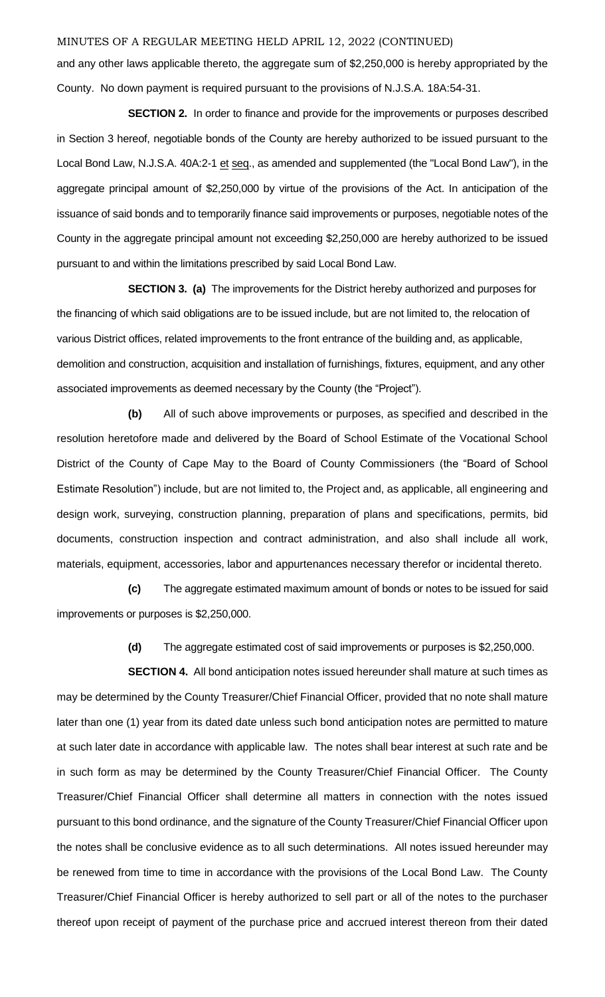and any other laws applicable thereto, the aggregate sum of \$2,250,000 is hereby appropriated by the County. No down payment is required pursuant to the provisions of N.J.S.A. 18A:54-31.

**SECTION 2.** In order to finance and provide for the improvements or purposes described in Section 3 hereof, negotiable bonds of the County are hereby authorized to be issued pursuant to the Local Bond Law, N.J.S.A. 40A:2-1 et seq., as amended and supplemented (the "Local Bond Law"), in the aggregate principal amount of \$2,250,000 by virtue of the provisions of the Act. In anticipation of the issuance of said bonds and to temporarily finance said improvements or purposes, negotiable notes of the County in the aggregate principal amount not exceeding \$2,250,000 are hereby authorized to be issued pursuant to and within the limitations prescribed by said Local Bond Law.

**SECTION 3. (a)** The improvements for the District hereby authorized and purposes for the financing of which said obligations are to be issued include, but are not limited to, the relocation of various District offices, related improvements to the front entrance of the building and, as applicable, demolition and construction, acquisition and installation of furnishings, fixtures, equipment, and any other associated improvements as deemed necessary by the County (the "Project").

**(b)** All of such above improvements or purposes, as specified and described in the resolution heretofore made and delivered by the Board of School Estimate of the Vocational School District of the County of Cape May to the Board of County Commissioners (the "Board of School Estimate Resolution") include, but are not limited to, the Project and, as applicable, all engineering and design work, surveying, construction planning, preparation of plans and specifications, permits, bid documents, construction inspection and contract administration, and also shall include all work, materials, equipment, accessories, labor and appurtenances necessary therefor or incidental thereto.

**(c)** The aggregate estimated maximum amount of bonds or notes to be issued for said improvements or purposes is \$2,250,000.

**(d)** The aggregate estimated cost of said improvements or purposes is \$2,250,000.

**SECTION 4.** All bond anticipation notes issued hereunder shall mature at such times as may be determined by the County Treasurer/Chief Financial Officer, provided that no note shall mature later than one (1) year from its dated date unless such bond anticipation notes are permitted to mature at such later date in accordance with applicable law. The notes shall bear interest at such rate and be in such form as may be determined by the County Treasurer/Chief Financial Officer. The County Treasurer/Chief Financial Officer shall determine all matters in connection with the notes issued pursuant to this bond ordinance, and the signature of the County Treasurer/Chief Financial Officer upon the notes shall be conclusive evidence as to all such determinations. All notes issued hereunder may be renewed from time to time in accordance with the provisions of the Local Bond Law. The County Treasurer/Chief Financial Officer is hereby authorized to sell part or all of the notes to the purchaser thereof upon receipt of payment of the purchase price and accrued interest thereon from their dated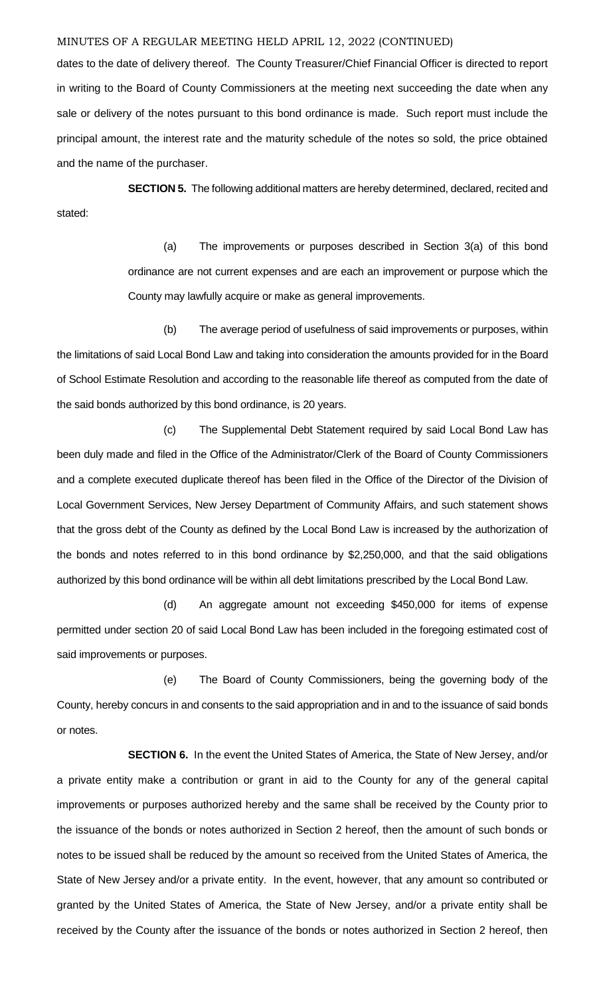dates to the date of delivery thereof. The County Treasurer/Chief Financial Officer is directed to report in writing to the Board of County Commissioners at the meeting next succeeding the date when any sale or delivery of the notes pursuant to this bond ordinance is made. Such report must include the principal amount, the interest rate and the maturity schedule of the notes so sold, the price obtained and the name of the purchaser.

**SECTION 5.** The following additional matters are hereby determined, declared, recited and stated:

> (a) The improvements or purposes described in Section 3(a) of this bond ordinance are not current expenses and are each an improvement or purpose which the County may lawfully acquire or make as general improvements.

(b) The average period of usefulness of said improvements or purposes, within the limitations of said Local Bond Law and taking into consideration the amounts provided for in the Board of School Estimate Resolution and according to the reasonable life thereof as computed from the date of the said bonds authorized by this bond ordinance, is 20 years.

(c) The Supplemental Debt Statement required by said Local Bond Law has been duly made and filed in the Office of the Administrator/Clerk of the Board of County Commissioners and a complete executed duplicate thereof has been filed in the Office of the Director of the Division of Local Government Services, New Jersey Department of Community Affairs, and such statement shows that the gross debt of the County as defined by the Local Bond Law is increased by the authorization of the bonds and notes referred to in this bond ordinance by \$2,250,000, and that the said obligations authorized by this bond ordinance will be within all debt limitations prescribed by the Local Bond Law.

(d) An aggregate amount not exceeding \$450,000 for items of expense permitted under section 20 of said Local Bond Law has been included in the foregoing estimated cost of said improvements or purposes.

(e) The Board of County Commissioners, being the governing body of the County, hereby concurs in and consents to the said appropriation and in and to the issuance of said bonds or notes.

**SECTION 6.** In the event the United States of America, the State of New Jersey, and/or a private entity make a contribution or grant in aid to the County for any of the general capital improvements or purposes authorized hereby and the same shall be received by the County prior to the issuance of the bonds or notes authorized in Section 2 hereof, then the amount of such bonds or notes to be issued shall be reduced by the amount so received from the United States of America, the State of New Jersey and/or a private entity. In the event, however, that any amount so contributed or granted by the United States of America, the State of New Jersey, and/or a private entity shall be received by the County after the issuance of the bonds or notes authorized in Section 2 hereof, then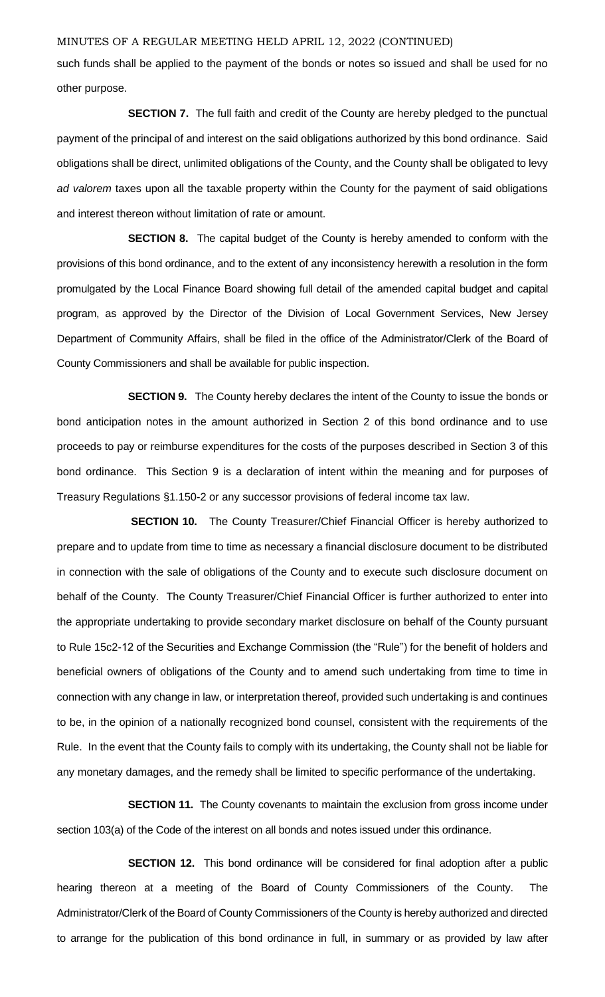such funds shall be applied to the payment of the bonds or notes so issued and shall be used for no other purpose.

**SECTION 7.** The full faith and credit of the County are hereby pledged to the punctual payment of the principal of and interest on the said obligations authorized by this bond ordinance. Said obligations shall be direct, unlimited obligations of the County, and the County shall be obligated to levy *ad valorem* taxes upon all the taxable property within the County for the payment of said obligations and interest thereon without limitation of rate or amount.

**SECTION 8.** The capital budget of the County is hereby amended to conform with the provisions of this bond ordinance, and to the extent of any inconsistency herewith a resolution in the form promulgated by the Local Finance Board showing full detail of the amended capital budget and capital program, as approved by the Director of the Division of Local Government Services, New Jersey Department of Community Affairs, shall be filed in the office of the Administrator/Clerk of the Board of County Commissioners and shall be available for public inspection.

**SECTION 9.** The County hereby declares the intent of the County to issue the bonds or bond anticipation notes in the amount authorized in Section 2 of this bond ordinance and to use proceeds to pay or reimburse expenditures for the costs of the purposes described in Section 3 of this bond ordinance. This Section 9 is a declaration of intent within the meaning and for purposes of Treasury Regulations §1.150-2 or any successor provisions of federal income tax law.

**SECTION 10.** The County Treasurer/Chief Financial Officer is hereby authorized to prepare and to update from time to time as necessary a financial disclosure document to be distributed in connection with the sale of obligations of the County and to execute such disclosure document on behalf of the County. The County Treasurer/Chief Financial Officer is further authorized to enter into the appropriate undertaking to provide secondary market disclosure on behalf of the County pursuant to Rule 15c2-12 of the Securities and Exchange Commission (the "Rule") for the benefit of holders and beneficial owners of obligations of the County and to amend such undertaking from time to time in connection with any change in law, or interpretation thereof, provided such undertaking is and continues to be, in the opinion of a nationally recognized bond counsel, consistent with the requirements of the Rule. In the event that the County fails to comply with its undertaking, the County shall not be liable for any monetary damages, and the remedy shall be limited to specific performance of the undertaking.

**SECTION 11.** The County covenants to maintain the exclusion from gross income under section 103(a) of the Code of the interest on all bonds and notes issued under this ordinance.

**SECTION 12.** This bond ordinance will be considered for final adoption after a public hearing thereon at a meeting of the Board of County Commissioners of the County. The Administrator/Clerk of the Board of County Commissioners of the County is hereby authorized and directed to arrange for the publication of this bond ordinance in full, in summary or as provided by law after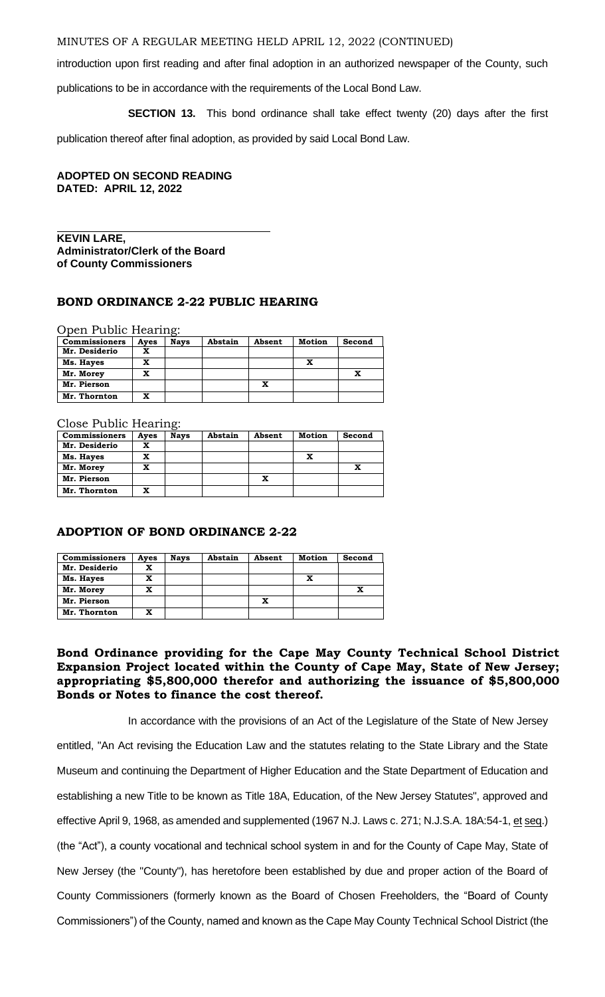introduction upon first reading and after final adoption in an authorized newspaper of the County, such

publications to be in accordance with the requirements of the Local Bond Law.

**SECTION 13.** This bond ordinance shall take effect twenty (20) days after the first

publication thereof after final adoption, as provided by said Local Bond Law.

### **ADOPTED ON SECOND READING DATED: APRIL 12, 2022**

#### **KEVIN LARE, Administrator/Clerk of the Board of County Commissioners**

#### **BOND ORDINANCE 2-22 PUBLIC HEARING**

Open Public Hearing:

| <b>Commissioners</b> | Ayes | <b>Nays</b> | Abstain | Absent | <b>Motion</b> | Second |
|----------------------|------|-------------|---------|--------|---------------|--------|
| Mr. Desiderio        | x    |             |         |        |               |        |
| Ms. Hayes            | x    |             |         |        | x             |        |
| Mr. Morey            | x    |             |         |        |               |        |
| Mr. Pierson          |      |             |         | x      |               |        |
| Mr. Thornton         | x    |             |         |        |               |        |

Close Public Hearing:

| <b>Commissioners</b> | Ayes | <b>Nays</b> | Abstain | Absent | Motion | Second |
|----------------------|------|-------------|---------|--------|--------|--------|
| Mr. Desiderio        | x    |             |         |        |        |        |
| Ms. Hayes            | x    |             |         |        | x      |        |
| Mr. Morey            | x    |             |         |        |        |        |
| Mr. Pierson          |      |             |         | x      |        |        |
| Mr. Thornton         | x    |             |         |        |        |        |

### **ADOPTION OF BOND ORDINANCE 2-22**

| <b>Commissioners</b> | Ayes | <b>Nays</b> | Abstain | Absent | Motion | Second |
|----------------------|------|-------------|---------|--------|--------|--------|
| Mr. Desiderio        |      |             |         |        |        |        |
| Ms. Hayes            |      |             |         |        | x      |        |
| Mr. Morey            | x    |             |         |        |        |        |
| Mr. Pierson          |      |             |         | x      |        |        |
| Mr. Thornton         | v    |             |         |        |        |        |

### **Bond Ordinance providing for the Cape May County Technical School District Expansion Project located within the County of Cape May, State of New Jersey; appropriating \$5,800,000 therefor and authorizing the issuance of \$5,800,000 Bonds or Notes to finance the cost thereof.**

 In accordance with the provisions of an Act of the Legislature of the State of New Jersey entitled, "An Act revising the Education Law and the statutes relating to the State Library and the State Museum and continuing the Department of Higher Education and the State Department of Education and establishing a new Title to be known as Title 18A, Education, of the New Jersey Statutes", approved and effective April 9, 1968, as amended and supplemented (1967 N.J. Laws c. 271; N.J.S.A. 18A:54-1, et seq.) (the "Act"), a county vocational and technical school system in and for the County of Cape May, State of New Jersey (the "County"), has heretofore been established by due and proper action of the Board of County Commissioners (formerly known as the Board of Chosen Freeholders, the "Board of County Commissioners") of the County, named and known as the Cape May County Technical School District (the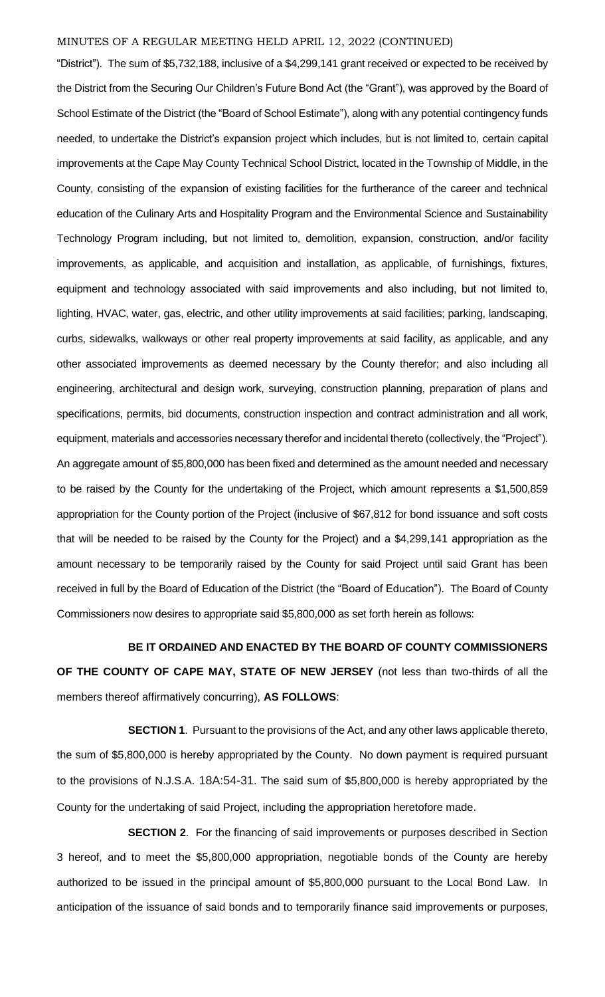"District"). The sum of \$5,732,188, inclusive of a \$4,299,141 grant received or expected to be received by the District from the Securing Our Children's Future Bond Act (the "Grant"), was approved by the Board of School Estimate of the District (the "Board of School Estimate"), along with any potential contingency funds needed, to undertake the District's expansion project which includes, but is not limited to, certain capital improvements at the Cape May County Technical School District, located in the Township of Middle, in the County, consisting of the expansion of existing facilities for the furtherance of the career and technical education of the Culinary Arts and Hospitality Program and the Environmental Science and Sustainability Technology Program including, but not limited to, demolition, expansion, construction, and/or facility improvements, as applicable, and acquisition and installation, as applicable, of furnishings, fixtures, equipment and technology associated with said improvements and also including, but not limited to, lighting, HVAC, water, gas, electric, and other utility improvements at said facilities; parking, landscaping, curbs, sidewalks, walkways or other real property improvements at said facility, as applicable, and any other associated improvements as deemed necessary by the County therefor; and also including all engineering, architectural and design work, surveying, construction planning, preparation of plans and specifications, permits, bid documents, construction inspection and contract administration and all work, equipment, materials and accessories necessary therefor and incidental thereto (collectively, the "Project"). An aggregate amount of \$5,800,000 has been fixed and determined as the amount needed and necessary to be raised by the County for the undertaking of the Project, which amount represents a \$1,500,859 appropriation for the County portion of the Project (inclusive of \$67,812 for bond issuance and soft costs that will be needed to be raised by the County for the Project) and a \$4,299,141 appropriation as the amount necessary to be temporarily raised by the County for said Project until said Grant has been received in full by the Board of Education of the District (the "Board of Education"). The Board of County Commissioners now desires to appropriate said \$5,800,000 as set forth herein as follows:

**BE IT ORDAINED AND ENACTED BY THE BOARD OF COUNTY COMMISSIONERS OF THE COUNTY OF CAPE MAY, STATE OF NEW JERSEY** (not less than two-thirds of all the members thereof affirmatively concurring), **AS FOLLOWS**:

**SECTION 1**. Pursuant to the provisions of the Act, and any other laws applicable thereto, the sum of \$5,800,000 is hereby appropriated by the County. No down payment is required pursuant to the provisions of N.J.S.A. 18A:54-31. The said sum of \$5,800,000 is hereby appropriated by the County for the undertaking of said Project, including the appropriation heretofore made.

**SECTION 2**. For the financing of said improvements or purposes described in Section 3 hereof, and to meet the \$5,800,000 appropriation, negotiable bonds of the County are hereby authorized to be issued in the principal amount of \$5,800,000 pursuant to the Local Bond Law. In anticipation of the issuance of said bonds and to temporarily finance said improvements or purposes,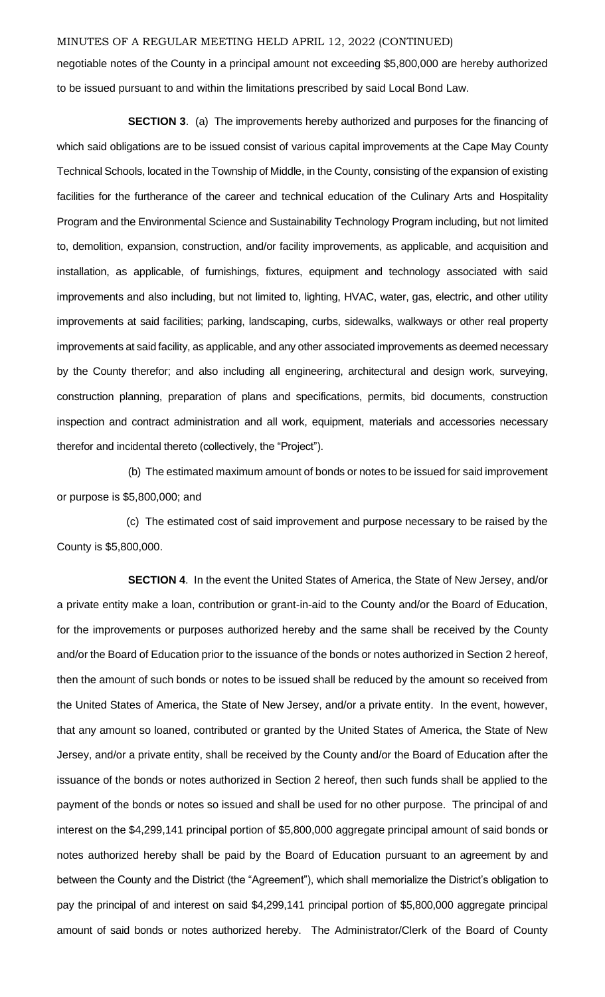negotiable notes of the County in a principal amount not exceeding \$5,800,000 are hereby authorized to be issued pursuant to and within the limitations prescribed by said Local Bond Law.

**SECTION 3**. (a) The improvements hereby authorized and purposes for the financing of which said obligations are to be issued consist of various capital improvements at the Cape May County Technical Schools, located in the Township of Middle, in the County, consisting of the expansion of existing facilities for the furtherance of the career and technical education of the Culinary Arts and Hospitality Program and the Environmental Science and Sustainability Technology Program including, but not limited to, demolition, expansion, construction, and/or facility improvements, as applicable, and acquisition and installation, as applicable, of furnishings, fixtures, equipment and technology associated with said improvements and also including, but not limited to, lighting, HVAC, water, gas, electric, and other utility improvements at said facilities; parking, landscaping, curbs, sidewalks, walkways or other real property improvements at said facility, as applicable, and any other associated improvements as deemed necessary by the County therefor; and also including all engineering, architectural and design work, surveying, construction planning, preparation of plans and specifications, permits, bid documents, construction inspection and contract administration and all work, equipment, materials and accessories necessary therefor and incidental thereto (collectively, the "Project").

(b) The estimated maximum amount of bonds or notes to be issued for said improvement or purpose is \$5,800,000; and

 (c) The estimated cost of said improvement and purpose necessary to be raised by the County is \$5,800,000.

**SECTION 4**. In the event the United States of America, the State of New Jersey, and/or a private entity make a loan, contribution or grant-in-aid to the County and/or the Board of Education, for the improvements or purposes authorized hereby and the same shall be received by the County and/or the Board of Education prior to the issuance of the bonds or notes authorized in Section 2 hereof, then the amount of such bonds or notes to be issued shall be reduced by the amount so received from the United States of America, the State of New Jersey, and/or a private entity. In the event, however, that any amount so loaned, contributed or granted by the United States of America, the State of New Jersey, and/or a private entity, shall be received by the County and/or the Board of Education after the issuance of the bonds or notes authorized in Section 2 hereof, then such funds shall be applied to the payment of the bonds or notes so issued and shall be used for no other purpose. The principal of and interest on the \$4,299,141 principal portion of \$5,800,000 aggregate principal amount of said bonds or notes authorized hereby shall be paid by the Board of Education pursuant to an agreement by and between the County and the District (the "Agreement"), which shall memorialize the District's obligation to pay the principal of and interest on said \$4,299,141 principal portion of \$5,800,000 aggregate principal amount of said bonds or notes authorized hereby. The Administrator/Clerk of the Board of County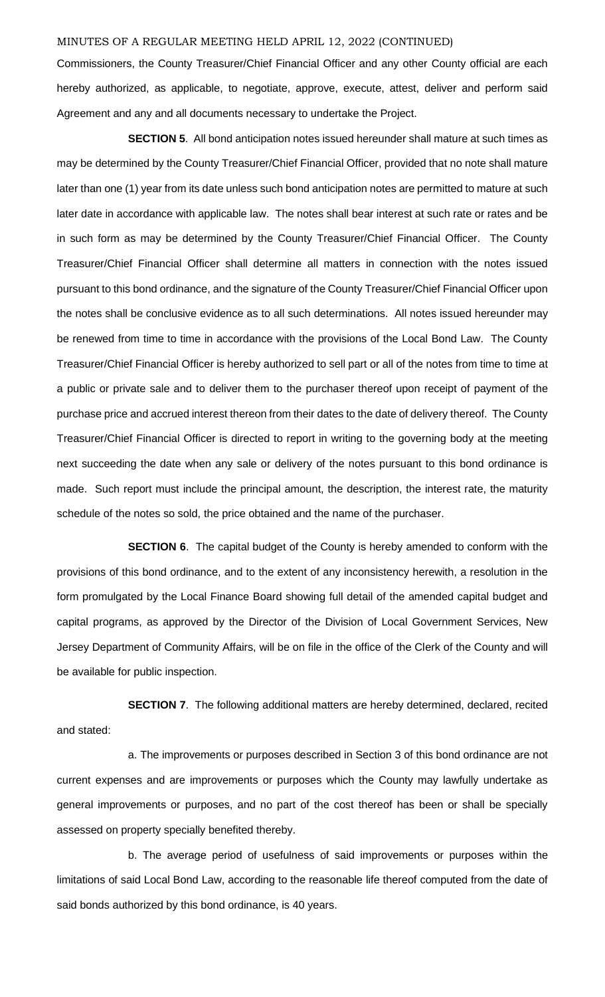Commissioners, the County Treasurer/Chief Financial Officer and any other County official are each hereby authorized, as applicable, to negotiate, approve, execute, attest, deliver and perform said Agreement and any and all documents necessary to undertake the Project.

**SECTION 5**. All bond anticipation notes issued hereunder shall mature at such times as may be determined by the County Treasurer/Chief Financial Officer, provided that no note shall mature later than one (1) year from its date unless such bond anticipation notes are permitted to mature at such later date in accordance with applicable law. The notes shall bear interest at such rate or rates and be in such form as may be determined by the County Treasurer/Chief Financial Officer. The County Treasurer/Chief Financial Officer shall determine all matters in connection with the notes issued pursuant to this bond ordinance, and the signature of the County Treasurer/Chief Financial Officer upon the notes shall be conclusive evidence as to all such determinations. All notes issued hereunder may be renewed from time to time in accordance with the provisions of the Local Bond Law. The County Treasurer/Chief Financial Officer is hereby authorized to sell part or all of the notes from time to time at a public or private sale and to deliver them to the purchaser thereof upon receipt of payment of the purchase price and accrued interest thereon from their dates to the date of delivery thereof. The County Treasurer/Chief Financial Officer is directed to report in writing to the governing body at the meeting next succeeding the date when any sale or delivery of the notes pursuant to this bond ordinance is made. Such report must include the principal amount, the description, the interest rate, the maturity schedule of the notes so sold, the price obtained and the name of the purchaser.

**SECTION 6**. The capital budget of the County is hereby amended to conform with the provisions of this bond ordinance, and to the extent of any inconsistency herewith, a resolution in the form promulgated by the Local Finance Board showing full detail of the amended capital budget and capital programs, as approved by the Director of the Division of Local Government Services, New Jersey Department of Community Affairs, will be on file in the office of the Clerk of the County and will be available for public inspection.

**SECTION 7.** The following additional matters are hereby determined, declared, recited and stated:

a. The improvements or purposes described in Section 3 of this bond ordinance are not current expenses and are improvements or purposes which the County may lawfully undertake as general improvements or purposes, and no part of the cost thereof has been or shall be specially assessed on property specially benefited thereby.

b. The average period of usefulness of said improvements or purposes within the limitations of said Local Bond Law, according to the reasonable life thereof computed from the date of said bonds authorized by this bond ordinance, is 40 years.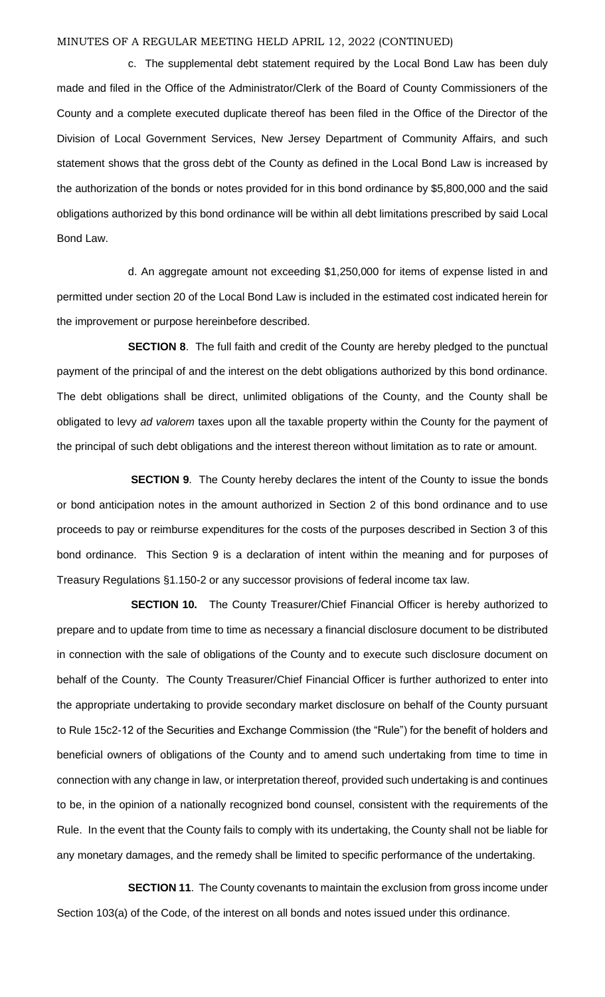c. The supplemental debt statement required by the Local Bond Law has been duly made and filed in the Office of the Administrator/Clerk of the Board of County Commissioners of the County and a complete executed duplicate thereof has been filed in the Office of the Director of the Division of Local Government Services, New Jersey Department of Community Affairs, and such statement shows that the gross debt of the County as defined in the Local Bond Law is increased by the authorization of the bonds or notes provided for in this bond ordinance by \$5,800,000 and the said obligations authorized by this bond ordinance will be within all debt limitations prescribed by said Local Bond Law.

d. An aggregate amount not exceeding \$1,250,000 for items of expense listed in and permitted under section 20 of the Local Bond Law is included in the estimated cost indicated herein for the improvement or purpose hereinbefore described.

**SECTION 8**. The full faith and credit of the County are hereby pledged to the punctual payment of the principal of and the interest on the debt obligations authorized by this bond ordinance. The debt obligations shall be direct, unlimited obligations of the County, and the County shall be obligated to levy *ad valorem* taxes upon all the taxable property within the County for the payment of the principal of such debt obligations and the interest thereon without limitation as to rate or amount.

**SECTION 9**. The County hereby declares the intent of the County to issue the bonds or bond anticipation notes in the amount authorized in Section 2 of this bond ordinance and to use proceeds to pay or reimburse expenditures for the costs of the purposes described in Section 3 of this bond ordinance. This Section 9 is a declaration of intent within the meaning and for purposes of Treasury Regulations §1.150-2 or any successor provisions of federal income tax law.

**SECTION 10.** The County Treasurer/Chief Financial Officer is hereby authorized to prepare and to update from time to time as necessary a financial disclosure document to be distributed in connection with the sale of obligations of the County and to execute such disclosure document on behalf of the County. The County Treasurer/Chief Financial Officer is further authorized to enter into the appropriate undertaking to provide secondary market disclosure on behalf of the County pursuant to Rule 15c2-12 of the Securities and Exchange Commission (the "Rule") for the benefit of holders and beneficial owners of obligations of the County and to amend such undertaking from time to time in connection with any change in law, or interpretation thereof, provided such undertaking is and continues to be, in the opinion of a nationally recognized bond counsel, consistent with the requirements of the Rule. In the event that the County fails to comply with its undertaking, the County shall not be liable for any monetary damages, and the remedy shall be limited to specific performance of the undertaking.

**SECTION 11**. The County covenants to maintain the exclusion from gross income under Section 103(a) of the Code, of the interest on all bonds and notes issued under this ordinance.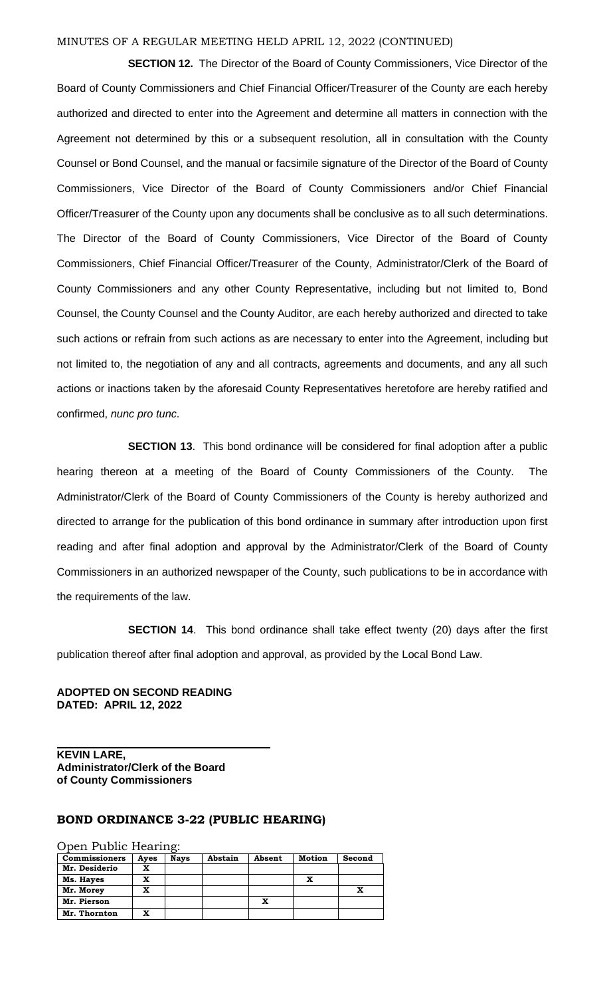**SECTION 12.** The Director of the Board of County Commissioners, Vice Director of the Board of County Commissioners and Chief Financial Officer/Treasurer of the County are each hereby authorized and directed to enter into the Agreement and determine all matters in connection with the Agreement not determined by this or a subsequent resolution, all in consultation with the County Counsel or Bond Counsel, and the manual or facsimile signature of the Director of the Board of County Commissioners, Vice Director of the Board of County Commissioners and/or Chief Financial Officer/Treasurer of the County upon any documents shall be conclusive as to all such determinations. The Director of the Board of County Commissioners, Vice Director of the Board of County Commissioners, Chief Financial Officer/Treasurer of the County, Administrator/Clerk of the Board of County Commissioners and any other County Representative, including but not limited to, Bond Counsel, the County Counsel and the County Auditor, are each hereby authorized and directed to take such actions or refrain from such actions as are necessary to enter into the Agreement, including but not limited to, the negotiation of any and all contracts, agreements and documents, and any all such actions or inactions taken by the aforesaid County Representatives heretofore are hereby ratified and confirmed, *nunc pro tunc*.

**SECTION 13**. This bond ordinance will be considered for final adoption after a public hearing thereon at a meeting of the Board of County Commissioners of the County. The Administrator/Clerk of the Board of County Commissioners of the County is hereby authorized and directed to arrange for the publication of this bond ordinance in summary after introduction upon first reading and after final adoption and approval by the Administrator/Clerk of the Board of County Commissioners in an authorized newspaper of the County, such publications to be in accordance with the requirements of the law.

**SECTION 14.** This bond ordinance shall take effect twenty (20) days after the first publication thereof after final adoption and approval, as provided by the Local Bond Law.

#### **ADOPTED ON SECOND READING DATED: APRIL 12, 2022**

**KEVIN LARE, Administrator/Clerk of the Board of County Commissioners**

### **BOND ORDINANCE 3-22 (PUBLIC HEARING)**

Open Public Hearing:

| <b>Commissioners</b> | Ayes | <b>Nays</b> | Abstain | Absent | Motion | Second |
|----------------------|------|-------------|---------|--------|--------|--------|
| Mr. Desiderio        | x    |             |         |        |        |        |
| Ms. Hayes            | x    |             |         |        | x      |        |
| Mr. Morey            | x    |             |         |        |        |        |
| Mr. Pierson          |      |             |         | x      |        |        |
| Mr. Thornton         | x    |             |         |        |        |        |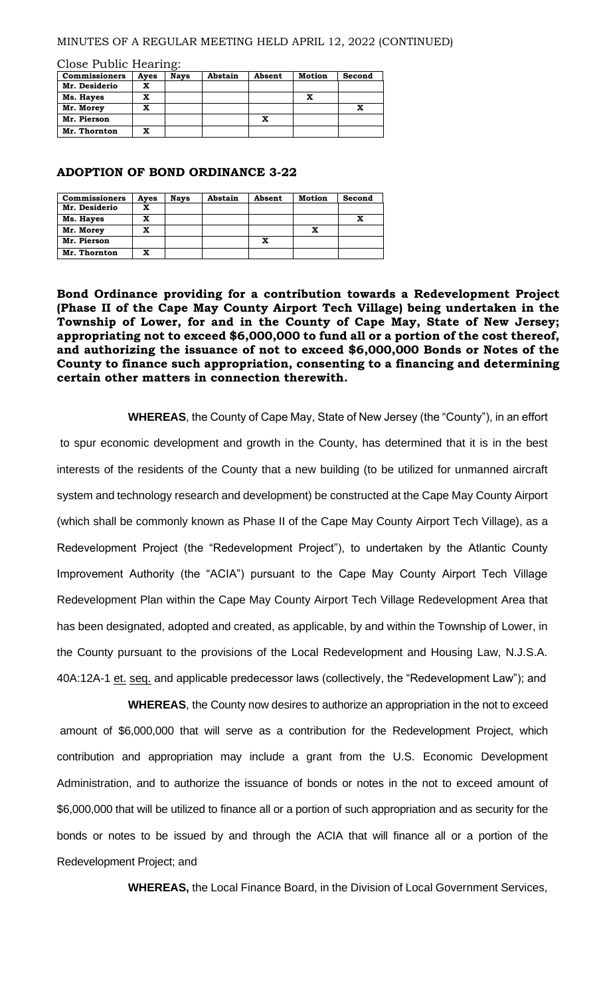Close Public Hearing:

| <b>Commissioners</b> | Ayes | <b>Nays</b> | Abstain | Absent | <b>Motion</b> | Second |
|----------------------|------|-------------|---------|--------|---------------|--------|
| Mr. Desiderio        | x    |             |         |        |               |        |
| Ms. Hayes            | x    |             |         |        | x             |        |
| Mr. Morey            | x    |             |         |        |               |        |
| Mr. Pierson          |      |             |         | x      |               |        |
| Mr. Thornton         | x    |             |         |        |               |        |

#### **ADOPTION OF BOND ORDINANCE 3-22**

| <b>Commissioners</b> | Ayes | <b>Nays</b> | Abstain | Absent | Motion | Second |
|----------------------|------|-------------|---------|--------|--------|--------|
| Mr. Desiderio        | x    |             |         |        |        |        |
| Ms. Hayes            | x    |             |         |        |        |        |
| Mr. Morey            | x    |             |         |        |        |        |
| Mr. Pierson          |      |             |         | x      |        |        |
| Mr. Thornton         | x    |             |         |        |        |        |

**Bond Ordinance providing for a contribution towards a Redevelopment Project (Phase II of the Cape May County Airport Tech Village) being undertaken in the Township of Lower, for and in the County of Cape May, State of New Jersey; appropriating not to exceed \$6,000,000 to fund all or a portion of the cost thereof, and authorizing the issuance of not to exceed \$6,000,000 Bonds or Notes of the County to finance such appropriation, consenting to a financing and determining certain other matters in connection therewith.**

**WHEREAS**, the County of Cape May, State of New Jersey (the "County"), in an effort to spur economic development and growth in the County, has determined that it is in the best interests of the residents of the County that a new building (to be utilized for unmanned aircraft system and technology research and development) be constructed at the Cape May County Airport (which shall be commonly known as Phase II of the Cape May County Airport Tech Village), as a Redevelopment Project (the "Redevelopment Project"), to undertaken by the Atlantic County Improvement Authority (the "ACIA") pursuant to the Cape May County Airport Tech Village Redevelopment Plan within the Cape May County Airport Tech Village Redevelopment Area that has been designated, adopted and created, as applicable, by and within the Township of Lower, in the County pursuant to the provisions of the Local Redevelopment and Housing Law, N.J.S.A. 40A:12A-1 et. seq. and applicable predecessor laws (collectively, the "Redevelopment Law"); and

**WHEREAS**, the County now desires to authorize an appropriation in the not to exceed amount of \$6,000,000 that will serve as a contribution for the Redevelopment Project, which contribution and appropriation may include a grant from the U.S. Economic Development Administration, and to authorize the issuance of bonds or notes in the not to exceed amount of \$6,000,000 that will be utilized to finance all or a portion of such appropriation and as security for the bonds or notes to be issued by and through the ACIA that will finance all or a portion of the Redevelopment Project; and

**WHEREAS,** the Local Finance Board, in the Division of Local Government Services,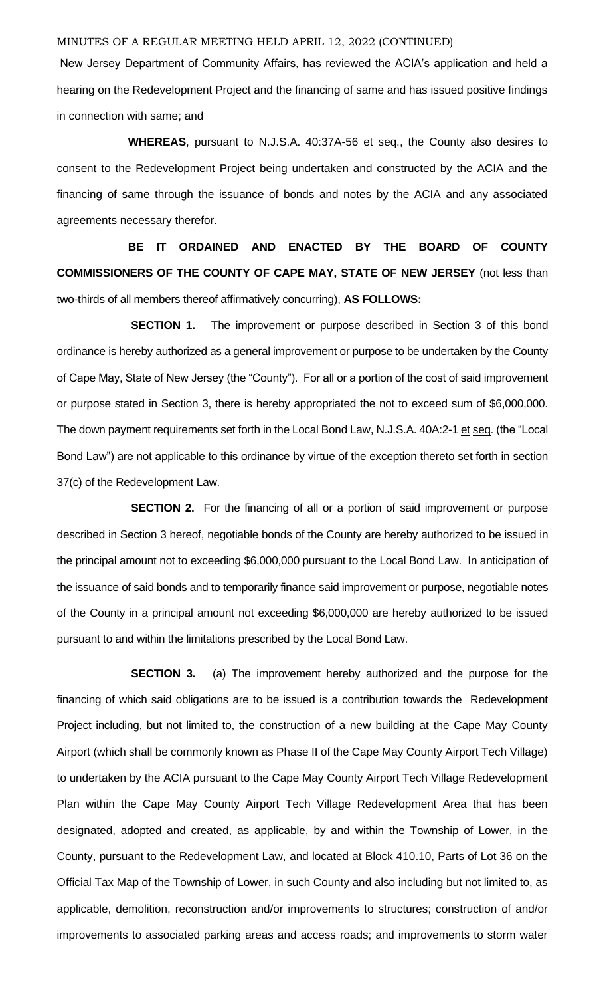New Jersey Department of Community Affairs, has reviewed the ACIA's application and held a hearing on the Redevelopment Project and the financing of same and has issued positive findings in connection with same; and

WHEREAS, pursuant to N.J.S.A. 40:37A-56 et seq., the County also desires to consent to the Redevelopment Project being undertaken and constructed by the ACIA and the financing of same through the issuance of bonds and notes by the ACIA and any associated agreements necessary therefor.

**BE IT ORDAINED AND ENACTED BY THE BOARD OF COUNTY COMMISSIONERS OF THE COUNTY OF CAPE MAY, STATE OF NEW JERSEY** (not less than two-thirds of all members thereof affirmatively concurring), **AS FOLLOWS:**

**SECTION 1.** The improvement or purpose described in Section 3 of this bond ordinance is hereby authorized as a general improvement or purpose to be undertaken by the County of Cape May, State of New Jersey (the "County"). For all or a portion of the cost of said improvement or purpose stated in Section 3, there is hereby appropriated the not to exceed sum of \$6,000,000. The down payment requirements set forth in the Local Bond Law, N.J.S.A. 40A:2-1 et seq. (the "Local Bond Law") are not applicable to this ordinance by virtue of the exception thereto set forth in section 37(c) of the Redevelopment Law.

**SECTION 2.** For the financing of all or a portion of said improvement or purpose described in Section 3 hereof, negotiable bonds of the County are hereby authorized to be issued in the principal amount not to exceeding \$6,000,000 pursuant to the Local Bond Law. In anticipation of the issuance of said bonds and to temporarily finance said improvement or purpose, negotiable notes of the County in a principal amount not exceeding \$6,000,000 are hereby authorized to be issued pursuant to and within the limitations prescribed by the Local Bond Law.

**SECTION 3.** (a) The improvement hereby authorized and the purpose for the financing of which said obligations are to be issued is a contribution towards the Redevelopment Project including, but not limited to, the construction of a new building at the Cape May County Airport (which shall be commonly known as Phase II of the Cape May County Airport Tech Village) to undertaken by the ACIA pursuant to the Cape May County Airport Tech Village Redevelopment Plan within the Cape May County Airport Tech Village Redevelopment Area that has been designated, adopted and created, as applicable, by and within the Township of Lower, in the County, pursuant to the Redevelopment Law, and located at Block 410.10, Parts of Lot 36 on the Official Tax Map of the Township of Lower, in such County and also including but not limited to, as applicable, demolition, reconstruction and/or improvements to structures; construction of and/or improvements to associated parking areas and access roads; and improvements to storm water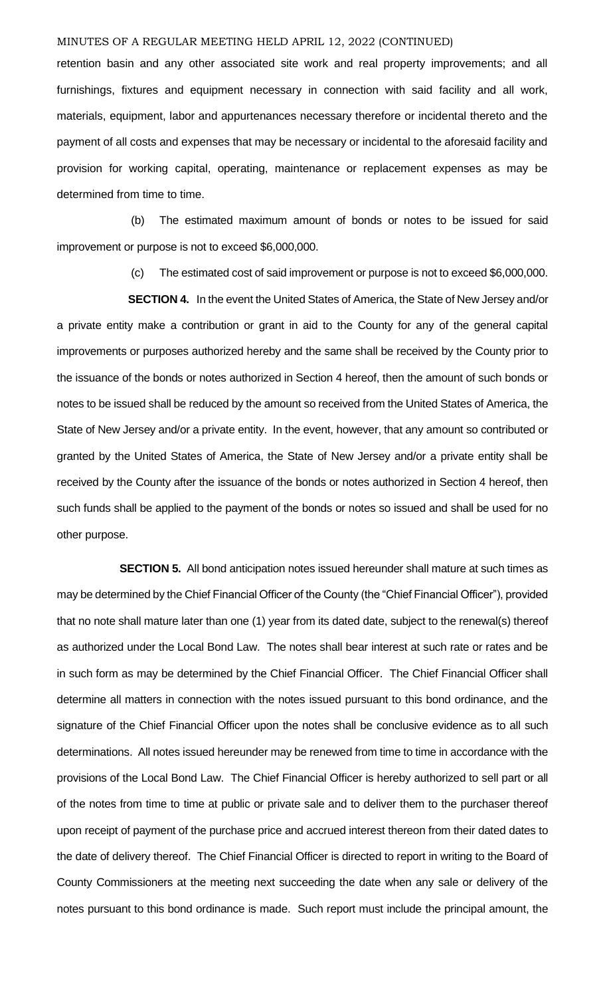retention basin and any other associated site work and real property improvements; and all furnishings, fixtures and equipment necessary in connection with said facility and all work, materials, equipment, labor and appurtenances necessary therefore or incidental thereto and the payment of all costs and expenses that may be necessary or incidental to the aforesaid facility and provision for working capital, operating, maintenance or replacement expenses as may be determined from time to time.

(b) The estimated maximum amount of bonds or notes to be issued for said improvement or purpose is not to exceed \$6,000,000.

(c) The estimated cost of said improvement or purpose is not to exceed \$6,000,000.

**SECTION 4.** In the event the United States of America, the State of New Jersey and/or a private entity make a contribution or grant in aid to the County for any of the general capital improvements or purposes authorized hereby and the same shall be received by the County prior to the issuance of the bonds or notes authorized in Section 4 hereof, then the amount of such bonds or notes to be issued shall be reduced by the amount so received from the United States of America, the State of New Jersey and/or a private entity. In the event, however, that any amount so contributed or granted by the United States of America, the State of New Jersey and/or a private entity shall be received by the County after the issuance of the bonds or notes authorized in Section 4 hereof, then such funds shall be applied to the payment of the bonds or notes so issued and shall be used for no other purpose.

 **SECTION 5.** All bond anticipation notes issued hereunder shall mature at such times as may be determined by the Chief Financial Officer of the County (the "Chief Financial Officer"), provided that no note shall mature later than one (1) year from its dated date, subject to the renewal(s) thereof as authorized under the Local Bond Law. The notes shall bear interest at such rate or rates and be in such form as may be determined by the Chief Financial Officer. The Chief Financial Officer shall determine all matters in connection with the notes issued pursuant to this bond ordinance, and the signature of the Chief Financial Officer upon the notes shall be conclusive evidence as to all such determinations. All notes issued hereunder may be renewed from time to time in accordance with the provisions of the Local Bond Law. The Chief Financial Officer is hereby authorized to sell part or all of the notes from time to time at public or private sale and to deliver them to the purchaser thereof upon receipt of payment of the purchase price and accrued interest thereon from their dated dates to the date of delivery thereof. The Chief Financial Officer is directed to report in writing to the Board of County Commissioners at the meeting next succeeding the date when any sale or delivery of the notes pursuant to this bond ordinance is made. Such report must include the principal amount, the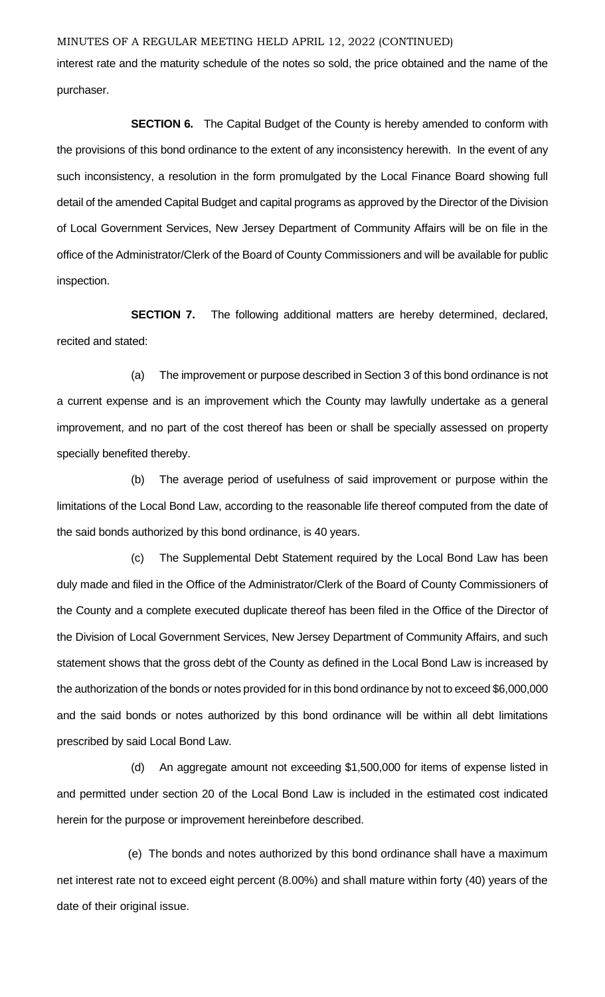interest rate and the maturity schedule of the notes so sold, the price obtained and the name of the purchaser.

**SECTION 6.** The Capital Budget of the County is hereby amended to conform with the provisions of this bond ordinance to the extent of any inconsistency herewith. In the event of any such inconsistency, a resolution in the form promulgated by the Local Finance Board showing full detail of the amended Capital Budget and capital programs as approved by the Director of the Division of Local Government Services, New Jersey Department of Community Affairs will be on file in the office of the Administrator/Clerk of the Board of County Commissioners and will be available for public inspection.

**SECTION 7.** The following additional matters are hereby determined, declared, recited and stated:

(a) The improvement or purpose described in Section 3 of this bond ordinance is not a current expense and is an improvement which the County may lawfully undertake as a general improvement, and no part of the cost thereof has been or shall be specially assessed on property specially benefited thereby.

(b) The average period of usefulness of said improvement or purpose within the limitations of the Local Bond Law, according to the reasonable life thereof computed from the date of the said bonds authorized by this bond ordinance, is 40 years.

(c) The Supplemental Debt Statement required by the Local Bond Law has been duly made and filed in the Office of the Administrator/Clerk of the Board of County Commissioners of the County and a complete executed duplicate thereof has been filed in the Office of the Director of the Division of Local Government Services, New Jersey Department of Community Affairs, and such statement shows that the gross debt of the County as defined in the Local Bond Law is increased by the authorization of the bonds or notes provided for in this bond ordinance by not to exceed \$6,000,000 and the said bonds or notes authorized by this bond ordinance will be within all debt limitations prescribed by said Local Bond Law.

(d) An aggregate amount not exceeding \$1,500,000 for items of expense listed in and permitted under section 20 of the Local Bond Law is included in the estimated cost indicated herein for the purpose or improvement hereinbefore described.

(e) The bonds and notes authorized by this bond ordinance shall have a maximum net interest rate not to exceed eight percent (8.00%) and shall mature within forty (40) years of the date of their original issue.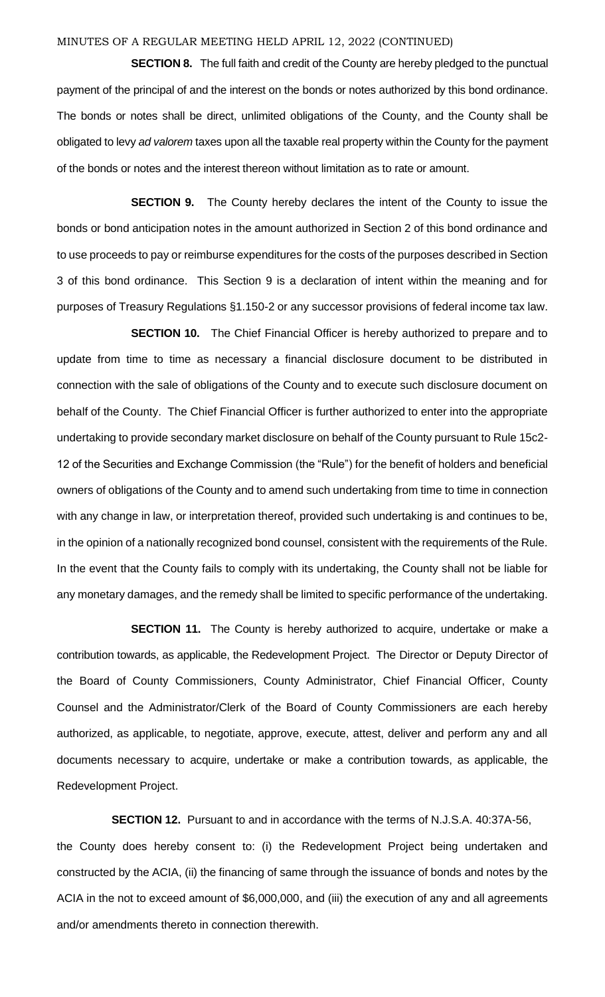**SECTION 8.** The full faith and credit of the County are hereby pledged to the punctual payment of the principal of and the interest on the bonds or notes authorized by this bond ordinance. The bonds or notes shall be direct, unlimited obligations of the County, and the County shall be obligated to levy *ad valorem* taxes upon all the taxable real property within the County for the payment of the bonds or notes and the interest thereon without limitation as to rate or amount.

**SECTION 9.** The County hereby declares the intent of the County to issue the bonds or bond anticipation notes in the amount authorized in Section 2 of this bond ordinance and to use proceeds to pay or reimburse expenditures for the costs of the purposes described in Section 3 of this bond ordinance. This Section 9 is a declaration of intent within the meaning and for purposes of Treasury Regulations §1.150-2 or any successor provisions of federal income tax law.

**SECTION 10.** The Chief Financial Officer is hereby authorized to prepare and to update from time to time as necessary a financial disclosure document to be distributed in connection with the sale of obligations of the County and to execute such disclosure document on behalf of the County. The Chief Financial Officer is further authorized to enter into the appropriate undertaking to provide secondary market disclosure on behalf of the County pursuant to Rule 15c2- 12 of the Securities and Exchange Commission (the "Rule") for the benefit of holders and beneficial owners of obligations of the County and to amend such undertaking from time to time in connection with any change in law, or interpretation thereof, provided such undertaking is and continues to be, in the opinion of a nationally recognized bond counsel, consistent with the requirements of the Rule. In the event that the County fails to comply with its undertaking, the County shall not be liable for any monetary damages, and the remedy shall be limited to specific performance of the undertaking.

**SECTION 11.** The County is hereby authorized to acquire, undertake or make a contribution towards, as applicable, the Redevelopment Project. The Director or Deputy Director of the Board of County Commissioners, County Administrator, Chief Financial Officer, County Counsel and the Administrator/Clerk of the Board of County Commissioners are each hereby authorized, as applicable, to negotiate, approve, execute, attest, deliver and perform any and all documents necessary to acquire, undertake or make a contribution towards, as applicable, the Redevelopment Project.

 **SECTION 12.** Pursuant to and in accordance with the terms of N.J.S.A. 40:37A-56, the County does hereby consent to: (i) the Redevelopment Project being undertaken and constructed by the ACIA, (ii) the financing of same through the issuance of bonds and notes by the ACIA in the not to exceed amount of \$6,000,000, and (iii) the execution of any and all agreements and/or amendments thereto in connection therewith.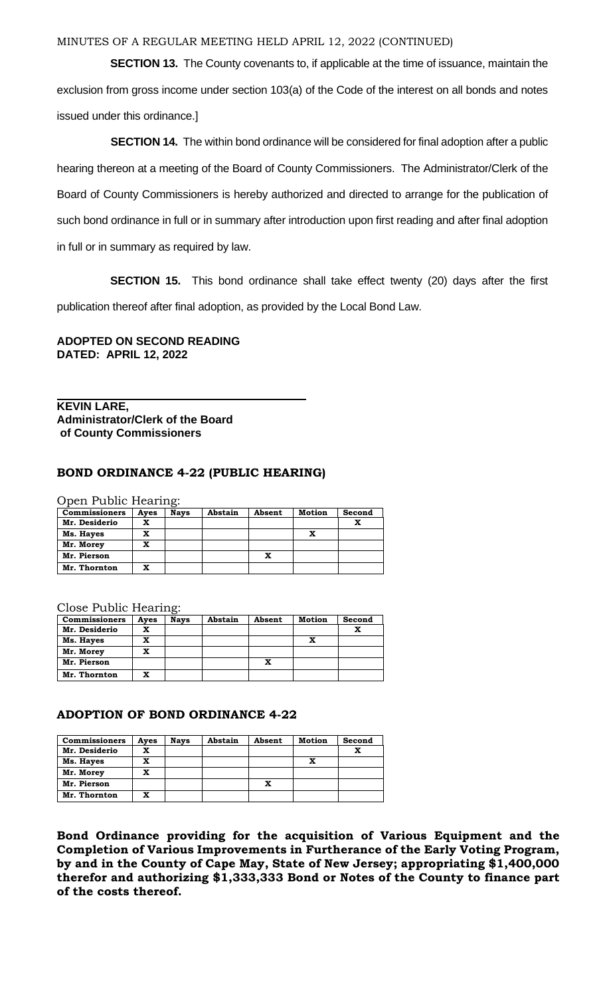**SECTION 13.** The County covenants to, if applicable at the time of issuance, maintain the exclusion from gross income under section 103(a) of the Code of the interest on all bonds and notes issued under this ordinance.]

**SECTION 14.** The within bond ordinance will be considered for final adoption after a public hearing thereon at a meeting of the Board of County Commissioners. The Administrator/Clerk of the Board of County Commissioners is hereby authorized and directed to arrange for the publication of such bond ordinance in full or in summary after introduction upon first reading and after final adoption in full or in summary as required by law.

**SECTION 15.** This bond ordinance shall take effect twenty (20) days after the first publication thereof after final adoption, as provided by the Local Bond Law.

## **ADOPTED ON SECOND READING DATED: APRIL 12, 2022**

### **KEVIN LARE, Administrator/Clerk of the Board of County Commissioners**

## **BOND ORDINANCE 4-22 (PUBLIC HEARING)**

Open Public Hearing:

| <b>Commissioners</b> | Ayes | <b>Nays</b> | Abstain | Absent | <b>Motion</b> | Second |
|----------------------|------|-------------|---------|--------|---------------|--------|
| Mr. Desiderio        | x    |             |         |        |               | x      |
| Ms. Hayes            | x    |             |         |        | x             |        |
| Mr. Morey            | x    |             |         |        |               |        |
| Mr. Pierson          |      |             |         | x      |               |        |
| Mr. Thornton         | x    |             |         |        |               |        |

Close Public Hearing:

| <b>Commissioners</b> | Ayes | <b>Nays</b> | Abstain | Absent | Motion | Second |
|----------------------|------|-------------|---------|--------|--------|--------|
| Mr. Desiderio        | x    |             |         |        |        |        |
| Ms. Hayes            | x    |             |         |        | x      |        |
| Mr. Morey            | x    |             |         |        |        |        |
| Mr. Pierson          |      |             |         | x      |        |        |
| Mr. Thornton         | x    |             |         |        |        |        |

### **ADOPTION OF BOND ORDINANCE 4-22**

| <b>Commissioners</b> | Ayes | <b>Nays</b> | Abstain | Absent | <b>Motion</b> | Second |
|----------------------|------|-------------|---------|--------|---------------|--------|
| Mr. Desiderio        | x    |             |         |        |               | x      |
| Ms. Hayes            | x    |             |         |        | x             |        |
| Mr. Morey            | x    |             |         |        |               |        |
| Mr. Pierson          |      |             |         | x      |               |        |
| Mr. Thornton         | x    |             |         |        |               |        |

**Bond Ordinance providing for the acquisition of Various Equipment and the Completion of Various Improvements in Furtherance of the Early Voting Program, by and in the County of Cape May, State of New Jersey; appropriating \$1,400,000 therefor and authorizing \$1,333,333 Bond or Notes of the County to finance part of the costs thereof.**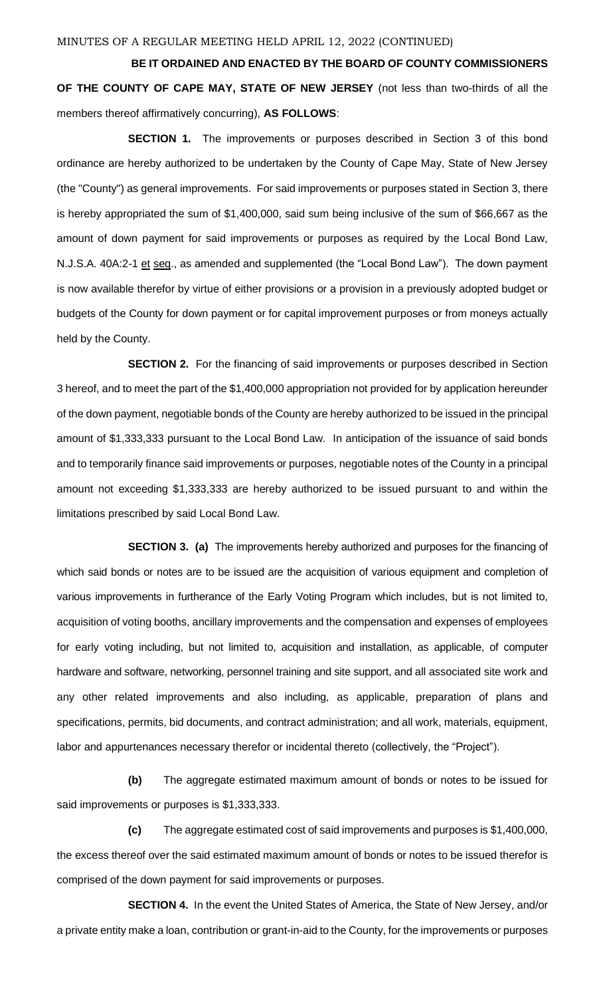**BE IT ORDAINED AND ENACTED BY THE BOARD OF COUNTY COMMISSIONERS OF THE COUNTY OF CAPE MAY, STATE OF NEW JERSEY** (not less than two-thirds of all the members thereof affirmatively concurring), **AS FOLLOWS**:

**SECTION 1.** The improvements or purposes described in Section 3 of this bond ordinance are hereby authorized to be undertaken by the County of Cape May, State of New Jersey (the "County") as general improvements. For said improvements or purposes stated in Section 3, there is hereby appropriated the sum of \$1,400,000, said sum being inclusive of the sum of \$66,667 as the amount of down payment for said improvements or purposes as required by the Local Bond Law, N.J.S.A. 40A:2-1 et seq., as amended and supplemented (the "Local Bond Law"). The down payment is now available therefor by virtue of either provisions or a provision in a previously adopted budget or budgets of the County for down payment or for capital improvement purposes or from moneys actually held by the County.

**SECTION 2.** For the financing of said improvements or purposes described in Section 3 hereof, and to meet the part of the \$1,400,000 appropriation not provided for by application hereunder of the down payment, negotiable bonds of the County are hereby authorized to be issued in the principal amount of \$1,333,333 pursuant to the Local Bond Law. In anticipation of the issuance of said bonds and to temporarily finance said improvements or purposes, negotiable notes of the County in a principal amount not exceeding \$1,333,333 are hereby authorized to be issued pursuant to and within the limitations prescribed by said Local Bond Law.

**SECTION 3. (a)** The improvements hereby authorized and purposes for the financing of which said bonds or notes are to be issued are the acquisition of various equipment and completion of various improvements in furtherance of the Early Voting Program which includes, but is not limited to, acquisition of voting booths, ancillary improvements and the compensation and expenses of employees for early voting including, but not limited to, acquisition and installation, as applicable, of computer hardware and software, networking, personnel training and site support, and all associated site work and any other related improvements and also including, as applicable, preparation of plans and specifications, permits, bid documents, and contract administration; and all work, materials, equipment, labor and appurtenances necessary therefor or incidental thereto (collectively, the "Project").

**(b)** The aggregate estimated maximum amount of bonds or notes to be issued for said improvements or purposes is \$1,333,333.

**(c)** The aggregate estimated cost of said improvements and purposes is \$1,400,000, the excess thereof over the said estimated maximum amount of bonds or notes to be issued therefor is comprised of the down payment for said improvements or purposes.

**SECTION 4.** In the event the United States of America, the State of New Jersey, and/or a private entity make a loan, contribution or grant-in-aid to the County, for the improvements or purposes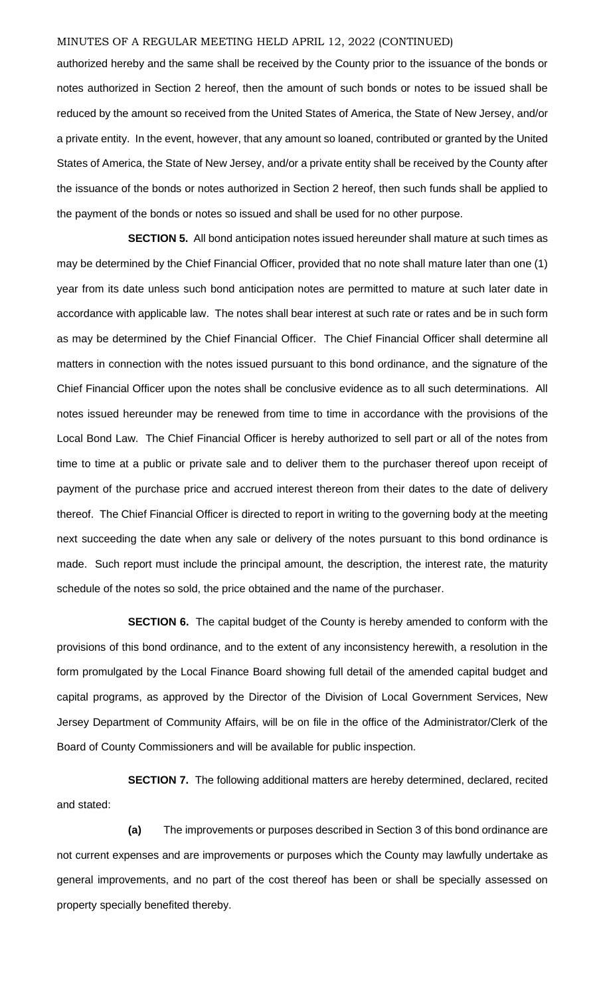authorized hereby and the same shall be received by the County prior to the issuance of the bonds or notes authorized in Section 2 hereof, then the amount of such bonds or notes to be issued shall be reduced by the amount so received from the United States of America, the State of New Jersey, and/or a private entity. In the event, however, that any amount so loaned, contributed or granted by the United States of America, the State of New Jersey, and/or a private entity shall be received by the County after the issuance of the bonds or notes authorized in Section 2 hereof, then such funds shall be applied to the payment of the bonds or notes so issued and shall be used for no other purpose.

**SECTION 5.** All bond anticipation notes issued hereunder shall mature at such times as may be determined by the Chief Financial Officer, provided that no note shall mature later than one (1) year from its date unless such bond anticipation notes are permitted to mature at such later date in accordance with applicable law. The notes shall bear interest at such rate or rates and be in such form as may be determined by the Chief Financial Officer. The Chief Financial Officer shall determine all matters in connection with the notes issued pursuant to this bond ordinance, and the signature of the Chief Financial Officer upon the notes shall be conclusive evidence as to all such determinations. All notes issued hereunder may be renewed from time to time in accordance with the provisions of the Local Bond Law. The Chief Financial Officer is hereby authorized to sell part or all of the notes from time to time at a public or private sale and to deliver them to the purchaser thereof upon receipt of payment of the purchase price and accrued interest thereon from their dates to the date of delivery thereof. The Chief Financial Officer is directed to report in writing to the governing body at the meeting next succeeding the date when any sale or delivery of the notes pursuant to this bond ordinance is made. Such report must include the principal amount, the description, the interest rate, the maturity schedule of the notes so sold, the price obtained and the name of the purchaser.

**SECTION 6.** The capital budget of the County is hereby amended to conform with the provisions of this bond ordinance, and to the extent of any inconsistency herewith, a resolution in the form promulgated by the Local Finance Board showing full detail of the amended capital budget and capital programs, as approved by the Director of the Division of Local Government Services, New Jersey Department of Community Affairs, will be on file in the office of the Administrator/Clerk of the Board of County Commissioners and will be available for public inspection.

**SECTION 7.** The following additional matters are hereby determined, declared, recited and stated:

**(a)** The improvements or purposes described in Section 3 of this bond ordinance are not current expenses and are improvements or purposes which the County may lawfully undertake as general improvements, and no part of the cost thereof has been or shall be specially assessed on property specially benefited thereby.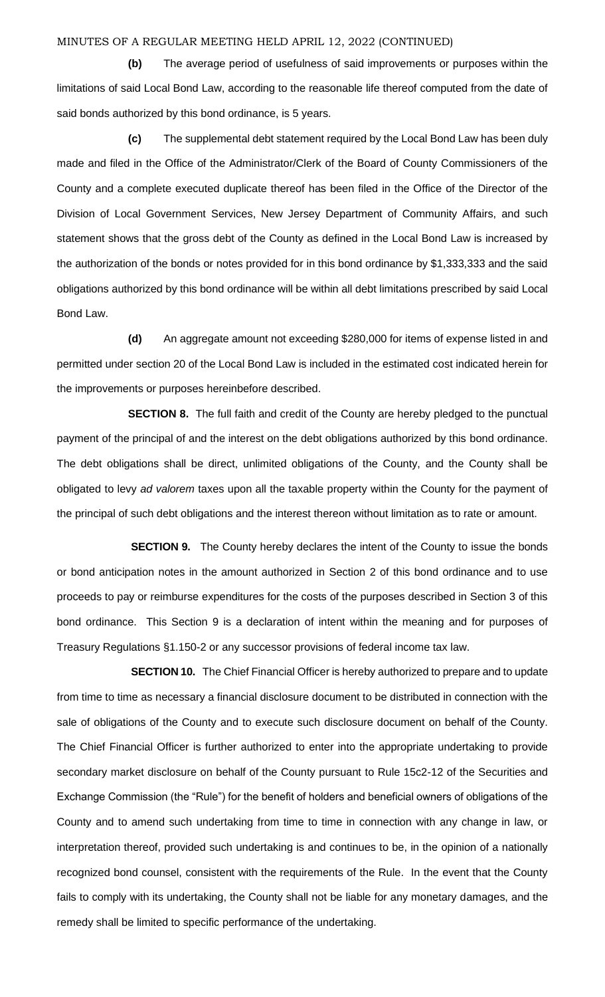**(b)** The average period of usefulness of said improvements or purposes within the limitations of said Local Bond Law, according to the reasonable life thereof computed from the date of said bonds authorized by this bond ordinance, is 5 years.

**(c)** The supplemental debt statement required by the Local Bond Law has been duly made and filed in the Office of the Administrator/Clerk of the Board of County Commissioners of the County and a complete executed duplicate thereof has been filed in the Office of the Director of the Division of Local Government Services, New Jersey Department of Community Affairs, and such statement shows that the gross debt of the County as defined in the Local Bond Law is increased by the authorization of the bonds or notes provided for in this bond ordinance by \$1,333,333 and the said obligations authorized by this bond ordinance will be within all debt limitations prescribed by said Local Bond Law.

**(d)** An aggregate amount not exceeding \$280,000 for items of expense listed in and permitted under section 20 of the Local Bond Law is included in the estimated cost indicated herein for the improvements or purposes hereinbefore described.

**SECTION 8.** The full faith and credit of the County are hereby pledged to the punctual payment of the principal of and the interest on the debt obligations authorized by this bond ordinance. The debt obligations shall be direct, unlimited obligations of the County, and the County shall be obligated to levy *ad valorem* taxes upon all the taxable property within the County for the payment of the principal of such debt obligations and the interest thereon without limitation as to rate or amount.

**SECTION 9.** The County hereby declares the intent of the County to issue the bonds or bond anticipation notes in the amount authorized in Section 2 of this bond ordinance and to use proceeds to pay or reimburse expenditures for the costs of the purposes described in Section 3 of this bond ordinance. This Section 9 is a declaration of intent within the meaning and for purposes of Treasury Regulations §1.150-2 or any successor provisions of federal income tax law.

**SECTION 10.** The Chief Financial Officer is hereby authorized to prepare and to update from time to time as necessary a financial disclosure document to be distributed in connection with the sale of obligations of the County and to execute such disclosure document on behalf of the County. The Chief Financial Officer is further authorized to enter into the appropriate undertaking to provide secondary market disclosure on behalf of the County pursuant to Rule 15c2-12 of the Securities and Exchange Commission (the "Rule") for the benefit of holders and beneficial owners of obligations of the County and to amend such undertaking from time to time in connection with any change in law, or interpretation thereof, provided such undertaking is and continues to be, in the opinion of a nationally recognized bond counsel, consistent with the requirements of the Rule. In the event that the County fails to comply with its undertaking, the County shall not be liable for any monetary damages, and the remedy shall be limited to specific performance of the undertaking.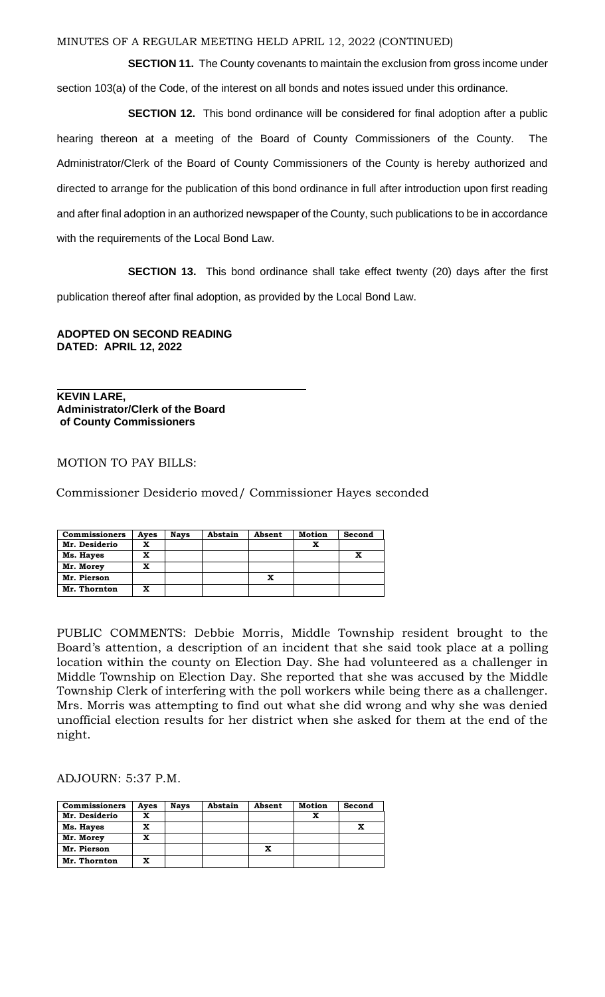**SECTION 11.** The County covenants to maintain the exclusion from gross income under section 103(a) of the Code, of the interest on all bonds and notes issued under this ordinance.

**SECTION 12.** This bond ordinance will be considered for final adoption after a public hearing thereon at a meeting of the Board of County Commissioners of the County. The Administrator/Clerk of the Board of County Commissioners of the County is hereby authorized and directed to arrange for the publication of this bond ordinance in full after introduction upon first reading and after final adoption in an authorized newspaper of the County, such publications to be in accordance with the requirements of the Local Bond Law.

**SECTION 13.** This bond ordinance shall take effect twenty (20) days after the first publication thereof after final adoption, as provided by the Local Bond Law.

**ADOPTED ON SECOND READING DATED: APRIL 12, 2022**

**KEVIN LARE, Administrator/Clerk of the Board of County Commissioners**

### MOTION TO PAY BILLS:

Commissioner Desiderio moved/ Commissioner Hayes seconded

| <b>Commissioners</b> | Aves | <b>Nays</b> | Abstain | Absent | <b>Motion</b> | Second |
|----------------------|------|-------------|---------|--------|---------------|--------|
| Mr. Desiderio        | x    |             |         |        |               |        |
| Ms. Hayes            | x    |             |         |        |               |        |
| Mr. Morey            | x    |             |         |        |               |        |
| Mr. Pierson          |      |             |         |        |               |        |
| Mr. Thornton         | x    |             |         |        |               |        |

PUBLIC COMMENTS: Debbie Morris, Middle Township resident brought to the Board's attention, a description of an incident that she said took place at a polling location within the county on Election Day. She had volunteered as a challenger in Middle Township on Election Day. She reported that she was accused by the Middle Township Clerk of interfering with the poll workers while being there as a challenger. Mrs. Morris was attempting to find out what she did wrong and why she was denied unofficial election results for her district when she asked for them at the end of the night.

ADJOURN: 5:37 P.M.

| <b>Commissioners</b> | Ayes | <b>Nays</b> | Abstain | Absent | Motion | Second |
|----------------------|------|-------------|---------|--------|--------|--------|
| Mr. Desiderio        | x    |             |         |        |        |        |
| Ms. Hayes            | x    |             |         |        |        |        |
| Mr. Morey            | x    |             |         |        |        |        |
| Mr. Pierson          |      |             |         | x      |        |        |
| Mr. Thornton         | x    |             |         |        |        |        |